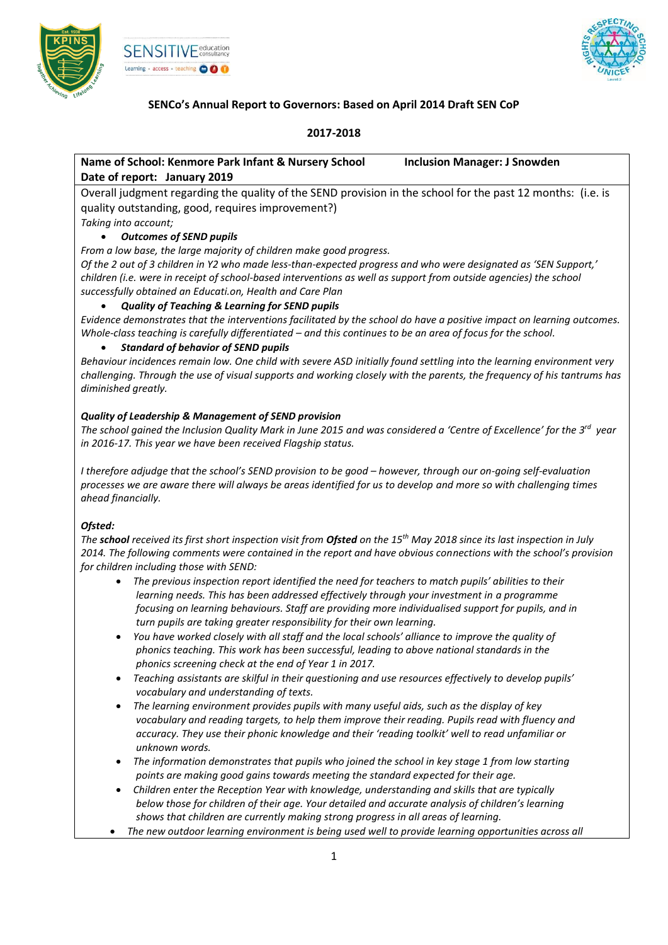



# **SENCo's Annual Report to Governors: Based on April 2014 Draft SEN CoP**

## **2017-2018**

# **Name of School: Kenmore Park Infant & Nursery School Inclusion Manager: J Snowden Date of report: January 2019**

Overall judgment regarding the quality of the SEND provision in the school for the past 12 months: (i.e. is quality outstanding, good, requires improvement?) *Taking into account;*

# *Outcomes of SEND pupils*

*From a low base, the large majority of children make good progress.*

*Of the 2 out of 3 children in Y2 who made less-than-expected progress and who were designated as 'SEN Support,' children (i.e. were in receipt of school-based interventions as well as support from outside agencies) the school successfully obtained an Educati.on, Health and Care Plan*

## *Quality of Teaching & Learning for SEND pupils*

*Evidence demonstrates that the interventions facilitated by the school do have a positive impact on learning outcomes. Whole-class teaching is carefully differentiated – and this continues to be an area of focus for the school.* 

## *Standard of behavior of SEND pupils*

*Behaviour incidences remain low. One child with severe ASD initially found settling into the learning environment very challenging. Through the use of visual supports and working closely with the parents, the frequency of his tantrums has diminished greatly.* 

## *Quality of Leadership & Management of SEND provision*

*The school gained the Inclusion Quality Mark in June 2015 and was considered a 'Centre of Excellence' for the 3 rd year in 2016-17. This year we have been received Flagship status.* 

*I therefore adjudge that the school's SEND provision to be good – however, through our on-going self-evaluation processes we are aware there will always be areas identified for us to develop and more so with challenging times ahead financially.* 

#### *Ofsted:*

*The school received its first short inspection visit from Ofsted on the 15th May 2018 since its last inspection in July 2014. The following comments were contained in the report and have obvious connections with the school's provision for children including those with SEND:*

- *The previous inspection report identified the need for teachers to match pupils' abilities to their learning needs. This has been addressed effectively through your investment in a programme focusing on learning behaviours. Staff are providing more individualised support for pupils, and in turn pupils are taking greater responsibility for their own learning.*
- *You have worked closely with all staff and the local schools' alliance to improve the quality of phonics teaching. This work has been successful, leading to above national standards in the phonics screening check at the end of Year 1 in 2017.*
- *Teaching assistants are skilful in their questioning and use resources effectively to develop pupils' vocabulary and understanding of texts.*
- *The learning environment provides pupils with many useful aids, such as the display of key vocabulary and reading targets, to help them improve their reading. Pupils read with fluency and accuracy. They use their phonic knowledge and their 'reading toolkit' well to read unfamiliar or unknown words.*
- *The information demonstrates that pupils who joined the school in key stage 1 from low starting points are making good gains towards meeting the standard expected for their age.*
- *Children enter the Reception Year with knowledge, understanding and skills that are typically below those for children of their age. Your detailed and accurate analysis of children's learning shows that children are currently making strong progress in all areas of learning.*
- *The new outdoor learning environment is being used well to provide learning opportunities across all*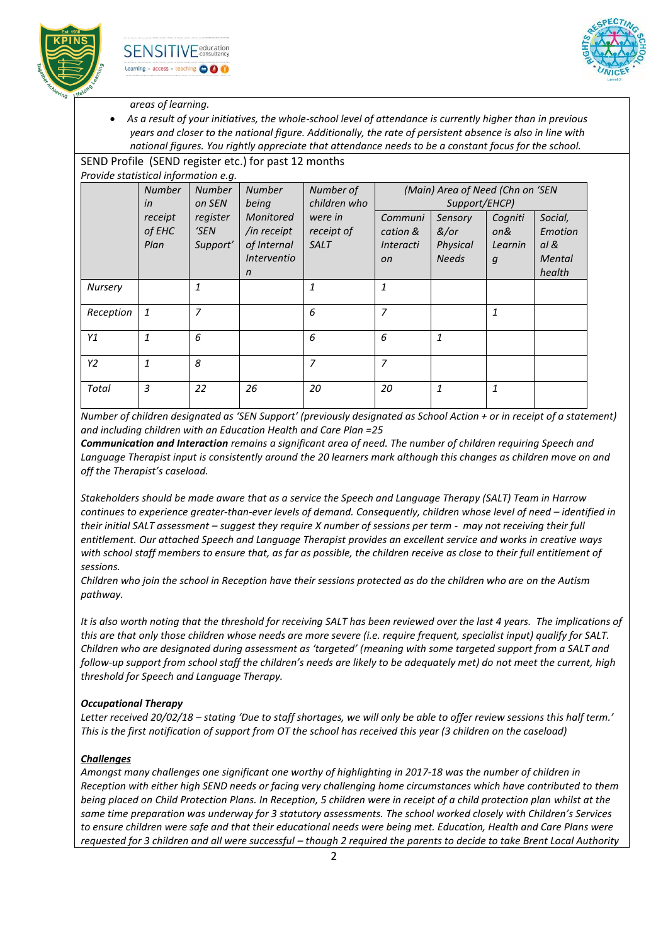



### *areas of learning.*

 *As a result of your initiatives, the whole-school level of attendance is currently higher than in previous years and closer to the national figure. Additionally, the rate of persistent absence is also in line with national figures. You rightly appreciate that attendance needs to be a constant focus for the school.*

#### SEND Profile (SEND register etc.) for past 12 months *Provide statistical information e.g.*

|                | <b>Number</b><br>in       | <b>Number</b><br>on SEN      | <b>Number</b><br>being                                                               | Number of<br>children who            |                                                          | (Main) Area of Need (Chn on 'SEN<br>Support/EHCP) |                                               |                                                |
|----------------|---------------------------|------------------------------|--------------------------------------------------------------------------------------|--------------------------------------|----------------------------------------------------------|---------------------------------------------------|-----------------------------------------------|------------------------------------------------|
|                | receipt<br>of EHC<br>Plan | register<br>'SEN<br>Support' | Monitored<br>/in receipt<br>of Internal<br><i><b>Interventio</b></i><br>$\mathsf{n}$ | were in<br>receipt of<br><b>SALT</b> | Communi<br>cation &<br><i>Interacti</i><br><sub>on</sub> | Sensory<br>&/or<br>Physical<br><b>Needs</b>       | Cogniti<br>on&<br>Learnin<br>$\boldsymbol{g}$ | Social,<br>Emotion<br>al &<br>Mental<br>health |
| <b>Nursery</b> |                           | 1                            |                                                                                      | $\mathbf{1}$                         | $\mathbf{1}$                                             |                                                   |                                               |                                                |
| Reception      | $\mathbf{1}$              | 7                            |                                                                                      | 6                                    | $\overline{7}$                                           |                                                   | 1                                             |                                                |
| Y1             | $\mathbf{1}$              | 6                            |                                                                                      | 6                                    | 6                                                        | 1                                                 |                                               |                                                |
| Y2             | $\mathbf{1}$              | 8                            |                                                                                      | 7                                    | $\overline{7}$                                           |                                                   |                                               |                                                |
| Total          | 3                         | 22                           | 26                                                                                   | 20                                   | 20                                                       | $\mathbf{1}$                                      | $\mathbf{1}$                                  |                                                |

*Number of children designated as 'SEN Support' (previously designated as School Action + or in receipt of a statement) and including children with an Education Health and Care Plan =25*

*Communication and Interaction remains a significant area of need. The number of children requiring Speech and Language Therapist input is consistently around the 20 learners mark although this changes as children move on and off the Therapist's caseload.* 

*Stakeholders should be made aware that as a service the Speech and Language Therapy (SALT) Team in Harrow continues to experience greater-than-ever levels of demand. Consequently, children whose level of need – identified in their initial SALT assessment – suggest they require X number of sessions per term - may not receiving their full entitlement. Our attached Speech and Language Therapist provides an excellent service and works in creative ways with school staff members to ensure that, as far as possible, the children receive as close to their full entitlement of sessions.* 

*Children who join the school in Reception have their sessions protected as do the children who are on the Autism pathway.* 

*It is also worth noting that the threshold for receiving SALT has been reviewed over the last 4 years. The implications of this are that only those children whose needs are more severe (i.e. require frequent, specialist input) qualify for SALT. Children who are designated during assessment as 'targeted' (meaning with some targeted support from a SALT and follow-up support from school staff the children's needs are likely to be adequately met) do not meet the current, high threshold for Speech and Language Therapy.* 

## *Occupational Therapy*

*Letter received 20/02/18 – stating 'Due to staff shortages, we will only be able to offer review sessions this half term.' This is the first notification of support from OT the school has received this year (3 children on the caseload)* 

## *Challenges*

*Amongst many challenges one significant one worthy of highlighting in 2017-18 was the number of children in Reception with either high SEND needs or facing very challenging home circumstances which have contributed to them being placed on Child Protection Plans. In Reception, 5 children were in receipt of a child protection plan whilst at the same time preparation was underway for 3 statutory assessments. The school worked closely with Children's Services to ensure children were safe and that their educational needs were being met. Education, Health and Care Plans were requested for 3 children and all were successful – though 2 required the parents to decide to take Brent Local Authority*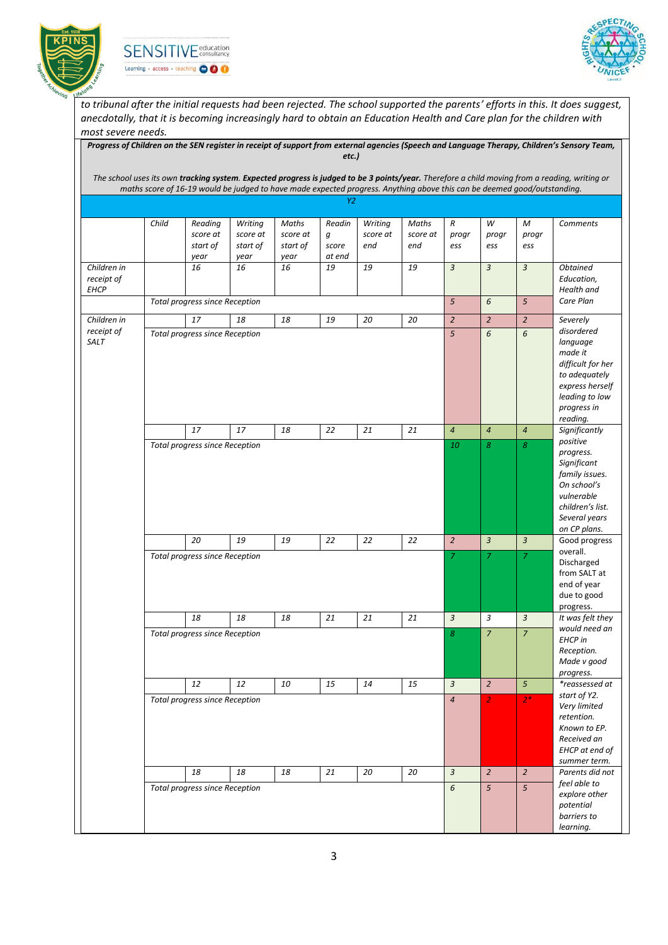





*to tribunal after the initial requests had been rejected. The school supported the parents' efforts in this. It does suggest, anecdotally, that it is becoming increasingly hard to obtain an Education Health and Care plan for the children with most severe needs.*

|                                          |       |                                                                                                                          |                                 |                               |                      |                            |                          |                   |                   |                   | The school uses its own tracking system. Expected progress is judged to be 3 points/year. Therefore a child moving from a reading, writing or |
|------------------------------------------|-------|--------------------------------------------------------------------------------------------------------------------------|---------------------------------|-------------------------------|----------------------|----------------------------|--------------------------|-------------------|-------------------|-------------------|-----------------------------------------------------------------------------------------------------------------------------------------------|
|                                          |       | maths score of 16-19 would be judged to have made expected progress. Anything above this can be deemed good/outstanding. |                                 |                               |                      |                            |                          |                   |                   |                   |                                                                                                                                               |
|                                          |       |                                                                                                                          |                                 |                               | Y2                   |                            |                          |                   |                   |                   |                                                                                                                                               |
|                                          | Child | Reading<br>score at<br>start of                                                                                          | Writing<br>score at<br>start of | Maths<br>score at<br>start of | Readin<br>g<br>score | Writing<br>score at<br>end | Maths<br>score at<br>end | R<br>progr<br>ess | W<br>progr<br>ess | M<br>progr<br>ess | <b>Comments</b>                                                                                                                               |
| Children in<br>receipt of<br><b>EHCP</b> |       | year<br>16                                                                                                               | year<br>16                      | year<br>16                    | at end<br>19         | 19                         | 19                       | $\overline{3}$    | $\overline{3}$    | $\mathfrak{Z}$    | <b>Obtained</b><br>Education,<br>Health and                                                                                                   |
|                                          |       | <b>Total progress since Reception</b>                                                                                    |                                 |                               |                      |                            |                          | 5                 | 6                 | $\mathfrak{s}$    | Care Plan                                                                                                                                     |
| Children in                              |       | 17                                                                                                                       | 18                              | 18                            | 19                   | 20                         | 20                       | $\overline{a}$    | $\overline{2}$    | $\sqrt{2}$        | Severely                                                                                                                                      |
| receipt of<br>SALT                       |       | Total progress since Reception                                                                                           |                                 |                               |                      |                            |                          | 5                 | 6                 | 6                 | disordered<br>language<br>made it<br>difficult for her<br>to adequately<br>express herself<br>leading to low<br>progress in<br>reading.       |
|                                          |       | 17                                                                                                                       | 17                              | 18                            | 22                   | 21                         | 21                       | $\overline{4}$    | $\overline{4}$    | $\overline{4}$    | Significantly<br>positive                                                                                                                     |
|                                          |       |                                                                                                                          |                                 |                               |                      |                            |                          |                   |                   |                   | progress.<br>Significant<br>family issues.<br>On school's<br>vulnerable<br>children's list.<br>Several years<br>on CP plans.                  |
|                                          |       | 20                                                                                                                       | 19                              | 19                            | 22                   | 22                         | 22                       | $\overline{2}$    | $\overline{3}$    | $\overline{3}$    | Good progress<br>overall.                                                                                                                     |
|                                          |       | <b>Total progress since Reception</b>                                                                                    |                                 |                               |                      |                            |                          | $\overline{z}$    | 7                 | $\overline{7}$    | Discharged<br>from SALT at<br>end of year<br>due to good<br>progress.                                                                         |
|                                          |       | 18                                                                                                                       | 18                              | 18                            | 21                   | 21                         | 21                       | $\overline{3}$    | 3                 | $\overline{3}$    | It was felt they                                                                                                                              |
|                                          |       | <b>Total progress since Reception</b>                                                                                    |                                 |                               |                      |                            |                          | 8                 | $\overline{7}$    | $\overline{7}$    | would need an<br><b>EHCP</b> in<br>Reception.<br>Made v good<br>progress.                                                                     |
|                                          |       | 12                                                                                                                       | 12                              | 10                            | 15                   | 14                         | 15                       | $\mathbf{3}$      | $\overline{2}$    | 5 <sup>5</sup>    | *reassessed at                                                                                                                                |
|                                          |       | <b>Total progress since Reception</b>                                                                                    |                                 |                               |                      |                            |                          | $\overline{4}$    | $\overline{2}$    | $2*$              | start of Y2.<br>Very limited<br>retention.<br>Known to EP.<br>Received an<br>EHCP at end of<br>summer term.                                   |
|                                          |       | 18                                                                                                                       | 18                              | 18                            | 21                   | 20                         | 20                       | $\overline{3}$    | $\overline{2}$    | $\overline{2}$    | Parents did not                                                                                                                               |
|                                          |       | <b>Total progress since Reception</b>                                                                                    |                                 |                               |                      |                            |                          | 6                 | $5\overline{)}$   | $\mathfrak{s}$    | feel able to<br>explore other<br>potential<br>barriers to<br>learning.                                                                        |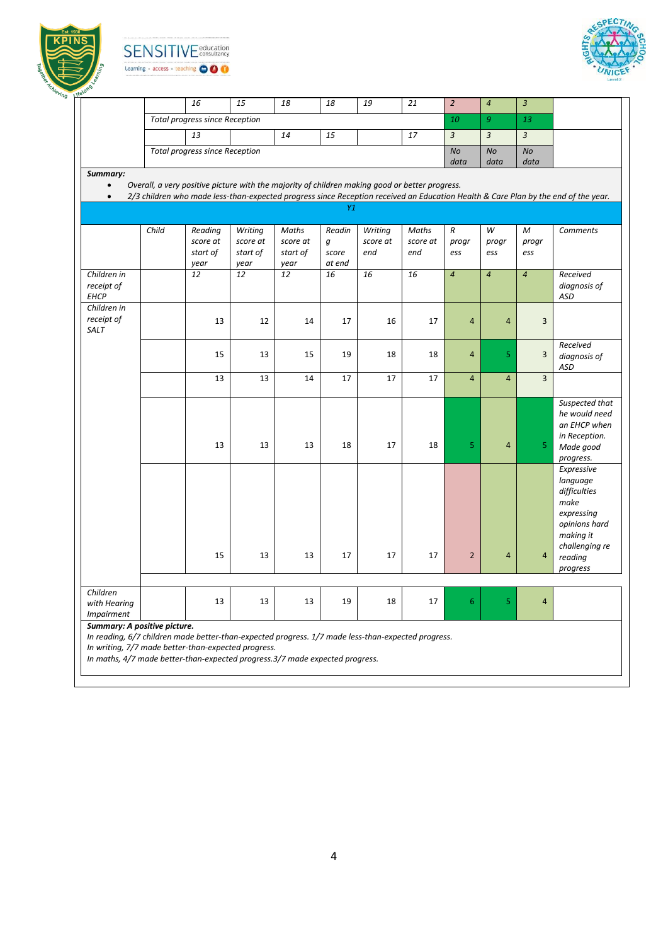

**SENSITIV** E education Learning + access + teaching OOO



|                           |       | 16                                                                                             | 15               | 18               | 18              | 19       | 21       | $\overline{2}$    | $\boldsymbol{4}$  | $\overline{3}$ |                                                                                                                                    |
|---------------------------|-------|------------------------------------------------------------------------------------------------|------------------|------------------|-----------------|----------|----------|-------------------|-------------------|----------------|------------------------------------------------------------------------------------------------------------------------------------|
|                           |       | Total progress since Reception                                                                 |                  |                  |                 |          |          | 10                | 9                 | 13             |                                                                                                                                    |
|                           |       | 13                                                                                             |                  | 14               | 15              |          | 17       | $\overline{3}$    | $\mathfrak{Z}$    | $\mathfrak{Z}$ |                                                                                                                                    |
|                           |       | <b>Total progress since Reception</b>                                                          |                  |                  |                 |          |          | <b>No</b><br>data | <b>No</b><br>data | No<br>data     |                                                                                                                                    |
| Summary:                  |       |                                                                                                |                  |                  |                 |          |          |                   |                   |                |                                                                                                                                    |
| $\bullet$                 |       | Overall, a very positive picture with the majority of children making good or better progress. |                  |                  |                 |          |          |                   |                   |                |                                                                                                                                    |
| $\bullet$                 |       |                                                                                                |                  |                  |                 |          |          |                   |                   |                | 2/3 children who made less-than-expected progress since Reception received an Education Health & Care Plan by the end of the year. |
|                           |       |                                                                                                |                  |                  | Y1              |          |          |                   |                   |                |                                                                                                                                    |
|                           | Child | Reading                                                                                        | Writing          | Maths            | Readin          | Writing  | Maths    | R                 | W                 | М              | <b>Comments</b>                                                                                                                    |
|                           |       | score at                                                                                       | score at         | score at         | g               | score at | score at | progr             | progr             | progr          |                                                                                                                                    |
|                           |       | start of<br>year                                                                               | start of<br>year | start of<br>year | score<br>at end | end      | end      | ess               | ess               | ess            |                                                                                                                                    |
| Children in               |       | 12                                                                                             | 12               | 12               | 16              | 16       | 16       | $\overline{4}$    | $\overline{4}$    | $\overline{4}$ | Received                                                                                                                           |
| receipt of<br><b>EHCP</b> |       |                                                                                                |                  |                  |                 |          |          |                   |                   |                | diagnosis of<br><b>ASD</b>                                                                                                         |
| Children in               |       |                                                                                                |                  |                  |                 |          |          |                   |                   |                |                                                                                                                                    |
| receipt of                |       | 13                                                                                             | 12               | 14               | 17              | 16       | 17       | $\overline{4}$    | $\overline{4}$    | $\overline{3}$ |                                                                                                                                    |
| SALT                      |       |                                                                                                |                  |                  |                 |          |          |                   |                   |                |                                                                                                                                    |
|                           |       | 15                                                                                             | 13               | 15               | 19              | 18       | 18       | $\overline{4}$    | 5                 | 3              | Received                                                                                                                           |
|                           |       |                                                                                                |                  |                  |                 |          |          |                   |                   |                | diagnosis of<br>ASD                                                                                                                |
|                           |       | 13                                                                                             | 13               | 14               | 17              | 17       | 17       | $\overline{4}$    | $\overline{4}$    | $\overline{3}$ |                                                                                                                                    |
|                           |       |                                                                                                |                  |                  |                 |          |          |                   |                   |                | Suspected that                                                                                                                     |
|                           |       |                                                                                                |                  |                  |                 |          |          |                   |                   |                | he would need                                                                                                                      |
|                           |       |                                                                                                |                  |                  |                 |          |          |                   |                   |                | an EHCP when                                                                                                                       |
|                           |       |                                                                                                |                  |                  |                 |          |          |                   |                   |                | in Reception.                                                                                                                      |
|                           |       | 13                                                                                             | 13               | 13               | 18              | 17       | 18       | 5                 | 4                 | 5              | Made good                                                                                                                          |
|                           |       |                                                                                                |                  |                  |                 |          |          |                   |                   |                | progress.                                                                                                                          |
|                           |       |                                                                                                |                  |                  |                 |          |          |                   |                   |                | Expressive<br>language                                                                                                             |
|                           |       |                                                                                                |                  |                  |                 |          |          |                   |                   |                | difficulties                                                                                                                       |
|                           |       |                                                                                                |                  |                  |                 |          |          |                   |                   |                | make                                                                                                                               |
|                           |       |                                                                                                |                  |                  |                 |          |          |                   |                   |                | expressing                                                                                                                         |
|                           |       |                                                                                                |                  |                  |                 |          |          |                   |                   |                | opinions hard                                                                                                                      |
|                           |       |                                                                                                |                  |                  |                 |          |          |                   |                   |                | making it                                                                                                                          |
|                           |       | 15                                                                                             | 13               | 13               | 17              | 17       | 17       | $\overline{2}$    | $\overline{4}$    | $\overline{a}$ | challenging re                                                                                                                     |
|                           |       |                                                                                                |                  |                  |                 |          |          |                   |                   |                | reading<br>progress                                                                                                                |
|                           |       |                                                                                                |                  |                  |                 |          |          |                   |                   |                |                                                                                                                                    |
| Children                  |       |                                                                                                |                  |                  |                 |          |          |                   |                   |                |                                                                                                                                    |
| with Hearing              |       | 13                                                                                             | 13               | 13               | 19              | 18       | 17       | 6                 | 5                 | $\overline{4}$ |                                                                                                                                    |
| <b>Impairment</b>         |       |                                                                                                |                  |                  |                 |          |          |                   |                   |                |                                                                                                                                    |

*In writing, 7/7 made better-than-expected progress. In maths, 4/7 made better-than-expected progress.3/7 made expected progress.*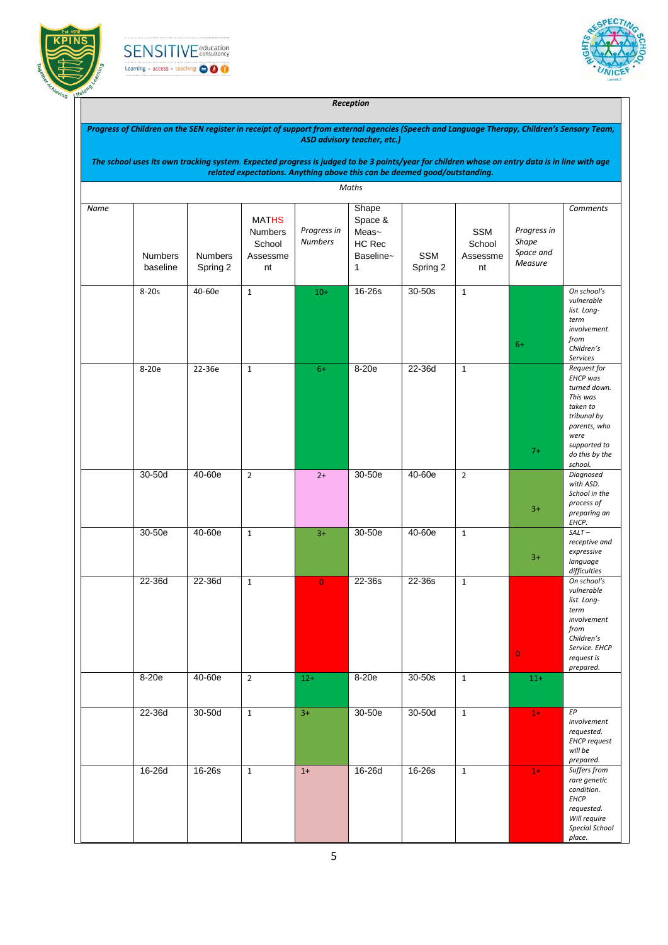





#### *Reception*

| Progress of Children on the SEN register in receipt of support from external agencies (Speech and Language Therapy, Children's Sensory Team, |  |
|----------------------------------------------------------------------------------------------------------------------------------------------|--|
| ASD advisory teacher, etc.)                                                                                                                  |  |

| The school uses its own tracking system. Expected progress is judged to be 3 points/year for children whose on entry data is in line with age |
|-----------------------------------------------------------------------------------------------------------------------------------------------|
| related expectations. Anything above this can be deemed good/outstanding.                                                                     |

|      |                            |                            |                                                            |                               | Maths                                                 |                        |                                        |                                                     |                                                                                                                                                            |
|------|----------------------------|----------------------------|------------------------------------------------------------|-------------------------------|-------------------------------------------------------|------------------------|----------------------------------------|-----------------------------------------------------|------------------------------------------------------------------------------------------------------------------------------------------------------------|
| Name | <b>Numbers</b><br>baseline | <b>Numbers</b><br>Spring 2 | <b>MATHS</b><br><b>Numbers</b><br>School<br>Assessme<br>nt | Progress in<br><b>Numbers</b> | Shape<br>Space &<br>Meas~<br>HC Rec<br>Baseline~<br>1 | <b>SSM</b><br>Spring 2 | <b>SSM</b><br>School<br>Assessme<br>nt | Progress in<br><b>Shape</b><br>Space and<br>Measure | <b>Comments</b>                                                                                                                                            |
|      | $8-20s$                    | 40-60e                     | $\mathbf{1}$                                               | $10+$                         | 16-26s                                                | $30 - 50s$             | $\mathbf 1$                            | $6+$                                                | On school's<br>vulnerable<br>list. Long-<br>term<br>involvement<br>from<br>Children's<br><b>Services</b>                                                   |
|      | 8-20e                      | 22-36e                     | $\mathbf{1}$                                               | $6+$                          | $8-20e$                                               | 22-36d                 | $\mathbf{1}$                           | $7+$                                                | Request for<br><b>EHCP</b> was<br>turned down.<br>This was<br>taken to<br>tribunal by<br>parents, who<br>were<br>supported to<br>do this by the<br>school. |
|      | $30-50d$                   | 40-60e                     | $\overline{2}$                                             | $2+$                          | 30-50e                                                | 40-60e                 | $\overline{2}$                         | $3+$                                                | Diagnosed<br>with ASD.<br>School in the<br>process of<br>preparing an<br>EHCP.                                                                             |
|      | 30-50e                     | 40-60e                     | $\mathbf{1}$                                               | $3+$                          | 30-50e                                                | 40-60e                 | $\mathbf{1}$                           | $3+$                                                | $SALT-$<br>receptive and<br>expressive<br>language<br>difficulties                                                                                         |
|      | $22-36d$                   | 22-36d                     | $\mathbf{1}$                                               | $\overline{0}$                | 22-36s                                                | 22-36s                 | $\mathbf{1}$                           | $\overline{0}$                                      | On school's<br>vulnerable<br>list. Long-<br>term<br>involvement<br>from<br>Children's<br>Service. EHCP<br>request is<br>prepared.                          |
|      | 8-20e                      | $40-60e$                   | $\overline{2}$                                             | $12+$                         | 8-20e                                                 | $30-50s$               | $1\,$                                  | $11+$                                               |                                                                                                                                                            |
|      | 22-36d                     | $30-50d$                   | $\mathbf{1}$                                               | $3+$                          | 30-50e                                                | $30-50d$               | $\mathbf{1}$                           | $1+$                                                | ${\it EP}$<br>involvement<br>requested.<br><b>EHCP</b> request<br>will be<br>prepared.                                                                     |
|      | 16-26d                     | 16-26s                     | $\mathbf{1}$                                               | $1+$                          | 16-26d                                                | 16-26s                 | $\mathbf{1}$                           | $1+$                                                | Suffers from<br>rare genetic<br>condition.<br><b>EHCP</b><br>requested.<br>Will require<br>Special School<br>place.                                        |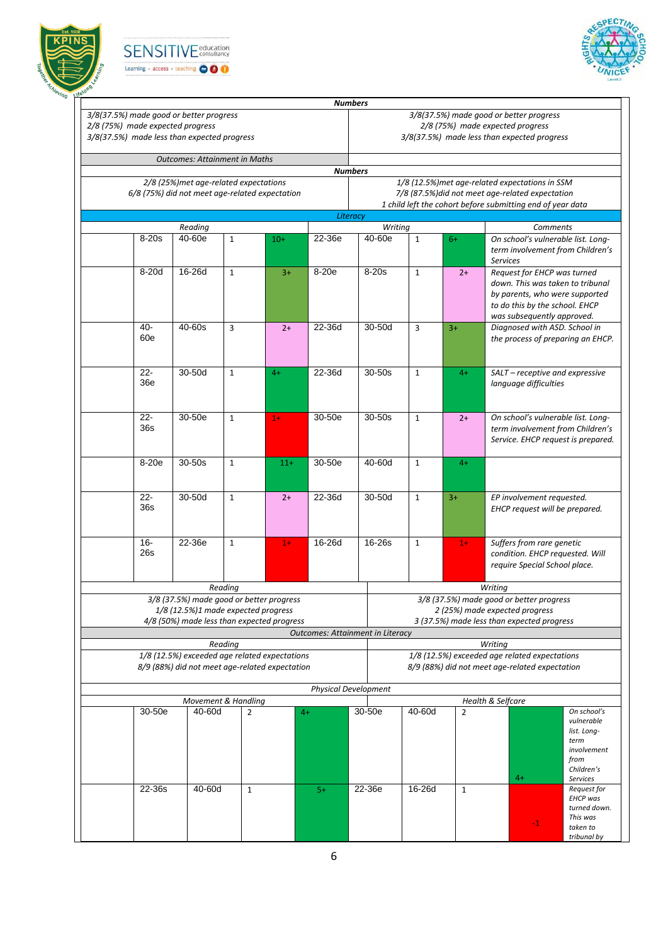





|                                  |                                                |                     |       | <b>Numbers</b>              |                                         |              |                |                                                             |                                    |
|----------------------------------|------------------------------------------------|---------------------|-------|-----------------------------|-----------------------------------------|--------------|----------------|-------------------------------------------------------------|------------------------------------|
|                                  | 3/8(37.5%) made good or better progress        |                     |       |                             |                                         |              |                | 3/8(37.5%) made good or better progress                     |                                    |
| 2/8 (75%) made expected progress |                                                |                     |       |                             |                                         |              |                | 2/8 (75%) made expected progress                            |                                    |
|                                  | 3/8(37.5%) made less than expected progress    |                     |       |                             |                                         |              |                | 3/8(37.5%) made less than expected progress                 |                                    |
|                                  | <b>Outcomes: Attainment in Maths</b>           |                     |       | <b>Numbers</b>              |                                         |              |                |                                                             |                                    |
|                                  | 2/8 (25%) met age-related expectations         |                     |       |                             |                                         |              |                | 1/8 (12.5%) met age-related expectations in SSM             |                                    |
|                                  | 6/8 (75%) did not meet age-related expectation |                     |       |                             |                                         |              |                | 7/8 (87.5%) did not meet age-related expectation            |                                    |
|                                  |                                                |                     |       |                             |                                         |              |                | 1 child left the cohort before submitting end of year data  |                                    |
|                                  |                                                |                     |       | Literacy                    |                                         |              |                |                                                             |                                    |
|                                  | Reading                                        |                     |       |                             | Writing                                 |              |                |                                                             | Comments                           |
| $8-20s$                          | 40-60e                                         | $\mathbf{1}$        | $10+$ | 22-36e                      | $40 - 60e$                              | $\mathbf{1}$ | $6+$           | On school's vulnerable list. Long-<br><b>Services</b>       | term involvement from Children's   |
| $8-20d$                          | 16-26d                                         | $\mathbf{1}$        | $3+$  | 8-20e                       | $8-20s$                                 | $\mathbf{1}$ | $2+$           | Request for EHCP was turned                                 |                                    |
|                                  |                                                |                     |       |                             |                                         |              |                | down. This was taken to tribunal                            |                                    |
|                                  |                                                |                     |       |                             |                                         |              |                | by parents, who were supported                              |                                    |
|                                  |                                                |                     |       |                             |                                         |              |                | to do this by the school. EHCP                              |                                    |
|                                  |                                                |                     |       |                             |                                         |              |                | was subsequently approved.                                  |                                    |
| 40-                              | $40 - 60s$                                     | 3                   | $2+$  | 22-36d                      | 30-50d                                  | 3            | $3+$           | Diagnosed with ASD. School in                               |                                    |
| 60e                              |                                                |                     |       |                             |                                         |              |                |                                                             | the process of preparing an EHCP.  |
|                                  |                                                |                     |       |                             |                                         |              |                |                                                             |                                    |
|                                  |                                                |                     |       |                             |                                         |              |                |                                                             |                                    |
| $22 -$                           | 30-50d                                         | $\mathbf{1}$        | $4+$  | 22-36d                      | 30-50s                                  | $\mathbf{1}$ | $4+$           | SALT - receptive and expressive                             |                                    |
| 36e                              |                                                |                     |       |                             |                                         |              |                | language difficulties                                       |                                    |
|                                  |                                                |                     |       |                             |                                         |              |                |                                                             |                                    |
|                                  |                                                |                     |       |                             |                                         |              |                |                                                             |                                    |
| $22 -$                           | 30-50e                                         | $\mathbf{1}$        | $1+$  | 30-50e                      | $30 - 50s$                              | $\mathbf{1}$ | $2+$           | On school's vulnerable list. Long-                          |                                    |
| 36s                              |                                                |                     |       |                             |                                         |              |                |                                                             | term involvement from Children's   |
|                                  |                                                |                     |       |                             |                                         |              |                |                                                             | Service. EHCP request is prepared. |
| 8-20e                            |                                                |                     |       | 30-50e                      | 40-60d                                  |              |                |                                                             |                                    |
|                                  | $30-50s$                                       | $\mathbf{1}$        | $11+$ |                             |                                         | $\mathbf{1}$ | $4+$           |                                                             |                                    |
|                                  |                                                |                     |       |                             |                                         |              |                |                                                             |                                    |
| $\overline{22}$                  | 30-50d                                         | $\mathbf{1}$        |       | 22-36d                      | 30-50d                                  | $\mathbf{1}$ | $3+$           |                                                             |                                    |
| 36s                              |                                                |                     | $2+$  |                             |                                         |              |                | EP involvement requested.<br>EHCP request will be prepared. |                                    |
|                                  |                                                |                     |       |                             |                                         |              |                |                                                             |                                    |
|                                  |                                                |                     |       |                             |                                         |              |                |                                                             |                                    |
| $16 -$                           | 22-36e                                         | $\mathbf{1}$        | $1+$  | 16-26d                      | 16-26s                                  | $\mathbf{1}$ | $1+$           | Suffers from rare genetic                                   |                                    |
| 26s                              |                                                |                     |       |                             |                                         |              |                | condition. EHCP requested. Will                             |                                    |
|                                  |                                                |                     |       |                             |                                         |              |                | require Special School place.                               |                                    |
|                                  |                                                |                     |       |                             |                                         |              |                |                                                             |                                    |
|                                  |                                                | Reading             |       |                             |                                         |              |                | Writing                                                     |                                    |
|                                  | 3/8 (37.5%) made good or better progress       |                     |       |                             |                                         |              |                | 3/8 (37.5%) made good or better progress                    |                                    |
|                                  | 1/8 (12.5%)1 made expected progress            |                     |       |                             |                                         |              |                | 2 (25%) made expected progress                              |                                    |
|                                  | 4/8 (50%) made less than expected progress     |                     |       |                             |                                         |              |                | 3 (37.5%) made less than expected progress                  |                                    |
|                                  |                                                |                     |       |                             | <b>Outcomes: Attainment in Literacy</b> |              |                |                                                             |                                    |
|                                  |                                                | Reading             |       |                             |                                         |              |                | Writing                                                     |                                    |
|                                  | 1/8 (12.5%) exceeded age related expectations  |                     |       |                             |                                         |              |                | 1/8 (12.5%) exceeded age related expectations               |                                    |
|                                  | 8/9 (88%) did not meet age-related expectation |                     |       |                             |                                         |              |                | 8/9 (88%) did not meet age-related expectation              |                                    |
|                                  |                                                |                     |       |                             |                                         |              |                |                                                             |                                    |
|                                  |                                                |                     |       | <b>Physical Development</b> |                                         |              |                |                                                             |                                    |
|                                  |                                                | Movement & Handling |       |                             |                                         |              |                | Health & Selfcare                                           |                                    |
| 30-50e                           | 40-60d                                         | $\overline{2}$      |       | $4+$                        | 30-50e                                  | 40-60d       | $\overline{2}$ |                                                             | On school's<br>vulnerable          |
|                                  |                                                |                     |       |                             |                                         |              |                |                                                             | list. Long-                        |
|                                  |                                                |                     |       |                             |                                         |              |                |                                                             | term                               |
|                                  |                                                |                     |       |                             |                                         |              |                |                                                             | involvement                        |
|                                  |                                                |                     |       |                             |                                         |              |                |                                                             | from                               |
|                                  |                                                |                     |       |                             |                                         |              |                |                                                             | Children's                         |
|                                  |                                                |                     |       |                             |                                         |              |                | $4+$                                                        | <b>Services</b>                    |
| 22-36s                           | 40-60d                                         | $\mathbf{1}$        |       | $5+$                        | 22-36e                                  | 16-26d       | $\mathbf{1}$   |                                                             | Request for<br><b>EHCP</b> was     |
|                                  |                                                |                     |       |                             |                                         |              |                |                                                             | turned down.                       |
|                                  |                                                |                     |       |                             |                                         |              |                |                                                             | This was                           |
|                                  |                                                |                     |       |                             |                                         |              |                | -1                                                          | taken to                           |
|                                  |                                                |                     |       |                             |                                         |              |                |                                                             | tribunal by                        |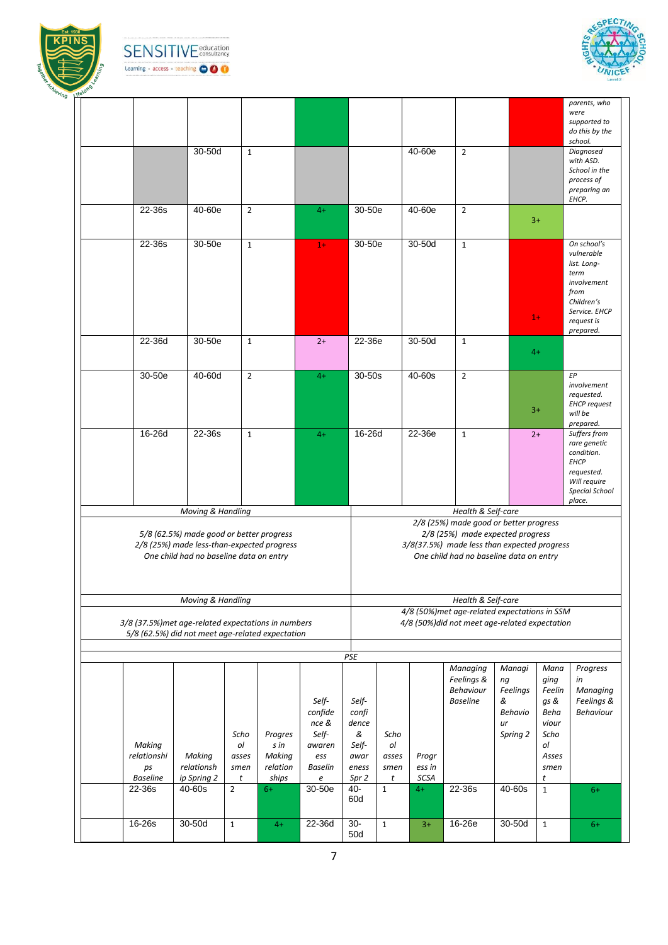





|  |                 |                                                     |                |          |                |              |              |        |                                                |                |              | parents, who                 |
|--|-----------------|-----------------------------------------------------|----------------|----------|----------------|--------------|--------------|--------|------------------------------------------------|----------------|--------------|------------------------------|
|  |                 |                                                     |                |          |                |              |              |        |                                                |                |              | were                         |
|  |                 |                                                     |                |          |                |              |              |        |                                                |                |              | supported to                 |
|  |                 |                                                     |                |          |                |              |              |        |                                                |                |              | do this by the               |
|  |                 |                                                     |                |          |                |              |              |        |                                                |                |              | school.                      |
|  |                 | 30-50d                                              | $\mathbf{1}$   |          |                |              |              | 40-60e | $\overline{2}$                                 |                |              | Diagnosed                    |
|  |                 |                                                     |                |          |                |              |              |        |                                                |                |              | with ASD.                    |
|  |                 |                                                     |                |          |                |              |              |        |                                                |                |              | School in the                |
|  |                 |                                                     |                |          |                |              |              |        |                                                |                |              | process of                   |
|  |                 |                                                     |                |          |                |              |              |        |                                                |                |              | preparing an                 |
|  | 22-36s          | 40-60e                                              | $\overline{2}$ |          |                | 30-50e       |              | 40-60e | $\overline{2}$                                 |                |              | EHCP.                        |
|  |                 |                                                     |                |          | $4+$           |              |              |        |                                                |                |              |                              |
|  |                 |                                                     |                |          |                |              |              |        |                                                |                | $3+$         |                              |
|  |                 |                                                     |                |          |                |              |              |        |                                                |                |              |                              |
|  | 22-36s          | 30-50e                                              | $\mathbf{1}$   |          | $1+$           | 30-50e       |              | 30-50d | $\mathbf{1}$                                   |                |              | On school's                  |
|  |                 |                                                     |                |          |                |              |              |        |                                                |                |              | vulnerable                   |
|  |                 |                                                     |                |          |                |              |              |        |                                                |                |              | list. Long-                  |
|  |                 |                                                     |                |          |                |              |              |        |                                                |                |              | term                         |
|  |                 |                                                     |                |          |                |              |              |        |                                                |                |              | involvement                  |
|  |                 |                                                     |                |          |                |              |              |        |                                                |                |              | from                         |
|  |                 |                                                     |                |          |                |              |              |        |                                                |                |              | Children's<br>Service. EHCP  |
|  |                 |                                                     |                |          |                |              |              |        |                                                |                | $1+$         | request is                   |
|  |                 |                                                     |                |          |                |              |              |        |                                                |                |              | prepared.                    |
|  | 22-36d          | $30-50e$                                            | $\mathbf{1}$   |          | $2+$           | 22-36e       |              | 30-50d | $\mathbf{1}$                                   |                |              |                              |
|  |                 |                                                     |                |          |                |              |              |        |                                                |                | $4+$         |                              |
|  |                 |                                                     |                |          |                |              |              |        |                                                |                |              |                              |
|  |                 |                                                     |                |          |                |              |              |        |                                                |                |              |                              |
|  | 30-50e          | 40-60d                                              | $\overline{2}$ |          | $4+$           | 30-50s       |              | 40-60s | $\overline{2}$                                 |                |              | EP                           |
|  |                 |                                                     |                |          |                |              |              |        |                                                |                |              | involvement                  |
|  |                 |                                                     |                |          |                |              |              |        |                                                |                |              | requested.                   |
|  |                 |                                                     |                |          |                |              |              |        |                                                |                | $3+$         | <b>EHCP</b> request          |
|  |                 |                                                     |                |          |                |              |              |        |                                                |                |              | will be                      |
|  |                 |                                                     |                |          |                |              |              |        |                                                |                |              | prepared.                    |
|  | 16-26d          | 22-36s                                              | $\mathbf{1}$   |          | $4+$           | 16-26d       |              | 22-36e | $\mathbf{1}$                                   |                | $2+$         | Suffers from<br>rare genetic |
|  |                 |                                                     |                |          |                |              |              |        |                                                |                |              | condition.                   |
|  |                 |                                                     |                |          |                |              |              |        |                                                |                |              |                              |
|  |                 |                                                     |                |          |                |              |              |        |                                                |                |              |                              |
|  |                 |                                                     |                |          |                |              |              |        |                                                |                |              | <b>EHCP</b>                  |
|  |                 |                                                     |                |          |                |              |              |        |                                                |                |              | requested.                   |
|  |                 |                                                     |                |          |                |              |              |        |                                                |                |              | Will require                 |
|  |                 |                                                     |                |          |                |              |              |        |                                                |                |              | <b>Special School</b>        |
|  |                 |                                                     |                |          |                |              |              |        |                                                |                |              | place.                       |
|  |                 | Moving & Handling                                   |                |          |                |              |              |        | Health & Self-care                             |                |              |                              |
|  |                 |                                                     |                |          |                |              |              |        | 2/8 (25%) made good or better progress         |                |              |                              |
|  |                 | 5/8 (62.5%) made good or better progress            |                |          |                |              |              |        | 2/8 (25%) made expected progress               |                |              |                              |
|  |                 | 2/8 (25%) made less-than-expected progress          |                |          |                |              |              |        | 3/8(37.5%) made less than expected progress    |                |              |                              |
|  |                 | One child had no baseline data on entry             |                |          |                |              |              |        | One child had no baseline data on entry        |                |              |                              |
|  |                 |                                                     |                |          |                |              |              |        |                                                |                |              |                              |
|  |                 |                                                     |                |          |                |              |              |        |                                                |                |              |                              |
|  |                 |                                                     |                |          |                |              |              |        |                                                |                |              |                              |
|  |                 | Moving & Handling                                   |                |          |                |              |              |        | Health & Self-care                             |                |              |                              |
|  |                 |                                                     |                |          |                |              |              |        | 4/8 (50%)met age-related expectations in SSM   |                |              |                              |
|  |                 | 3/8 (37.5%) met age-related expectations in numbers |                |          |                |              |              |        | 4/8 (50%) did not meet age-related expectation |                |              |                              |
|  |                 | 5/8 (62.5%) did not meet age-related expectation    |                |          |                |              |              |        |                                                |                |              |                              |
|  |                 |                                                     |                |          |                |              |              |        |                                                |                |              |                              |
|  |                 |                                                     |                |          |                |              |              |        |                                                |                |              |                              |
|  |                 |                                                     |                |          |                | PSE          |              |        |                                                |                |              |                              |
|  |                 |                                                     |                |          |                |              |              |        | Managing                                       | Managi         | Mana         | Progress                     |
|  |                 |                                                     |                |          |                |              |              |        | Feelings &                                     | ng             | ging         | in                           |
|  |                 |                                                     |                |          |                |              |              |        | Behaviour                                      | Feelings       | Feelin       | Managing                     |
|  |                 |                                                     |                |          | Self-          | Self-        |              |        | <b>Baseline</b>                                | &              | gs &         | Feelings &                   |
|  |                 |                                                     |                |          | confide        | confi        |              |        |                                                | <b>Behavio</b> | Beha         | Behaviour                    |
|  |                 |                                                     |                |          | nce &          | dence        |              |        |                                                | ur             | viour        |                              |
|  |                 |                                                     | Scho           | Progres  | Self-          | &            | Scho         |        |                                                | Spring 2       | Scho         |                              |
|  | Making          |                                                     | ol             | s in     | awaren         | Self-        | ol           |        |                                                |                | ol           |                              |
|  | relationshi     | Making                                              | asses          | Making   | ess            | awar         | asses        | Progr  |                                                |                | Asses        |                              |
|  | ps              | relationsh                                          | smen           |          | <b>Baselin</b> | eness        | smen         | ess in |                                                |                | smen         |                              |
|  |                 |                                                     | t              | relation |                |              | t            |        |                                                |                | t            |                              |
|  | <b>Baseline</b> | ip Spring 2                                         |                | ships    | e              | Spr 2        |              | SCSA   |                                                |                |              |                              |
|  | 22-36s          | 40-60s                                              | $\overline{2}$ | $6+$     | 30-50e         | 40-          | $\mathbf{1}$ | $4+$   | 22-36s                                         | 40-60s         | $\mathbf{1}$ | $6+$                         |
|  |                 |                                                     |                |          |                | 60d          |              |        |                                                |                |              |                              |
|  |                 |                                                     |                |          |                |              |              |        |                                                |                |              |                              |
|  | 16-26s          | 30-50d                                              | $\mathbf{1}$   | $4+$     | 22-36d         | $30-$<br>50d | $\mathbf 1$  | $3+$   | 16-26e                                         | 30-50d         | $\mathbf{1}$ | $6+$                         |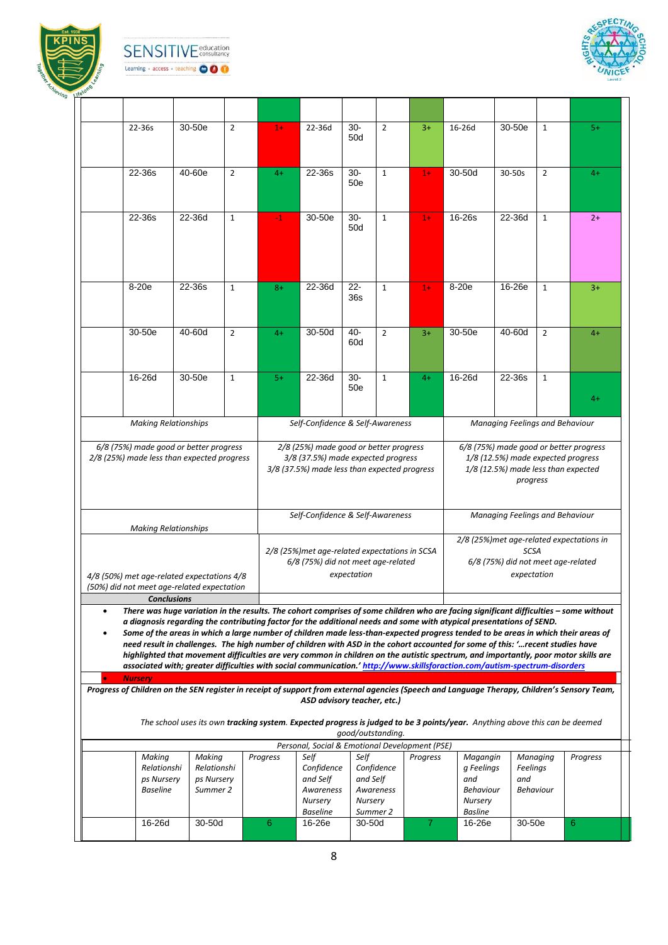

**SENSITIVE** education Learning · access · teaching **OOO** 



|           | 22-36s                                                                                                                                                                                                                                                              | 30-50e                    | $\overline{2}$ | $1+$     | 22-36d                                                                       | $30-$             | $\overline{2}$ | $3+$     | 16-26d                                                                                                                      | 30-50e                          | $\mathbf{1}$   | $5+$                                                                         |
|-----------|---------------------------------------------------------------------------------------------------------------------------------------------------------------------------------------------------------------------------------------------------------------------|---------------------------|----------------|----------|------------------------------------------------------------------------------|-------------------|----------------|----------|-----------------------------------------------------------------------------------------------------------------------------|---------------------------------|----------------|------------------------------------------------------------------------------|
|           |                                                                                                                                                                                                                                                                     |                           |                |          |                                                                              | 50d               |                |          |                                                                                                                             |                                 |                |                                                                              |
|           |                                                                                                                                                                                                                                                                     |                           |                |          |                                                                              |                   |                |          |                                                                                                                             |                                 |                |                                                                              |
|           |                                                                                                                                                                                                                                                                     |                           |                |          |                                                                              |                   |                |          |                                                                                                                             |                                 |                |                                                                              |
|           | 22-36s                                                                                                                                                                                                                                                              | 40-60e                    | $\overline{2}$ | $4+$     | 22-36s                                                                       | $30-$             | $\mathbf{1}$   | $1+$     | 30-50d                                                                                                                      | 30-50s                          | $\overline{2}$ | $4+$                                                                         |
|           |                                                                                                                                                                                                                                                                     |                           |                |          |                                                                              | 50e               |                |          |                                                                                                                             |                                 |                |                                                                              |
|           |                                                                                                                                                                                                                                                                     |                           |                |          |                                                                              |                   |                |          |                                                                                                                             |                                 |                |                                                                              |
|           | 22-36s                                                                                                                                                                                                                                                              | 22-36d                    | $\mathbf{1}$   | $-1$     | 30-50e                                                                       | $30 -$            | $\mathbf{1}$   | $1+$     | 16-26s                                                                                                                      | 22-36d                          | $\mathbf{1}$   | $2+$                                                                         |
|           |                                                                                                                                                                                                                                                                     |                           |                |          |                                                                              | 50d               |                |          |                                                                                                                             |                                 |                |                                                                              |
|           |                                                                                                                                                                                                                                                                     |                           |                |          |                                                                              |                   |                |          |                                                                                                                             |                                 |                |                                                                              |
|           |                                                                                                                                                                                                                                                                     |                           |                |          |                                                                              |                   |                |          |                                                                                                                             |                                 |                |                                                                              |
|           |                                                                                                                                                                                                                                                                     |                           |                |          |                                                                              |                   |                |          |                                                                                                                             |                                 |                |                                                                              |
|           |                                                                                                                                                                                                                                                                     |                           |                |          |                                                                              |                   |                |          |                                                                                                                             |                                 |                |                                                                              |
|           | $8-20e$                                                                                                                                                                                                                                                             | 22-36s                    | $\mathbf{1}$   | $8+$     | $22-36d$                                                                     | $22 -$<br>36s     | $\mathbf{1}$   | $1+$     | 8-20e                                                                                                                       | $16-26e$                        | $\mathbf{1}$   | $3+$                                                                         |
|           |                                                                                                                                                                                                                                                                     |                           |                |          |                                                                              |                   |                |          |                                                                                                                             |                                 |                |                                                                              |
|           |                                                                                                                                                                                                                                                                     |                           |                |          |                                                                              |                   |                |          |                                                                                                                             |                                 |                |                                                                              |
|           | $30-50e$                                                                                                                                                                                                                                                            | 40-60d                    | $\overline{2}$ | $4+$     | 30-50d                                                                       | 40-               | $\overline{2}$ | $3+$     | 30-50e                                                                                                                      | 40-60d                          | $\overline{2}$ | $4+$                                                                         |
|           |                                                                                                                                                                                                                                                                     |                           |                |          |                                                                              | 60d               |                |          |                                                                                                                             |                                 |                |                                                                              |
|           |                                                                                                                                                                                                                                                                     |                           |                |          |                                                                              |                   |                |          |                                                                                                                             |                                 |                |                                                                              |
|           | 16-26d                                                                                                                                                                                                                                                              | 30-50e                    |                |          | 22-36d                                                                       | $30-$             |                |          | 16-26d                                                                                                                      | 22-36s                          |                |                                                                              |
|           |                                                                                                                                                                                                                                                                     |                           | $\mathbf{1}$   | $5+$     |                                                                              | 50e               | $\mathbf{1}$   | $4+$     |                                                                                                                             |                                 | $\mathbf{1}$   |                                                                              |
|           |                                                                                                                                                                                                                                                                     |                           |                |          |                                                                              |                   |                |          |                                                                                                                             |                                 |                | $4+$                                                                         |
|           |                                                                                                                                                                                                                                                                     |                           |                |          |                                                                              |                   |                |          |                                                                                                                             |                                 |                |                                                                              |
|           | <b>Making Relationships</b>                                                                                                                                                                                                                                         |                           |                |          | Self-Confidence & Self-Awareness                                             |                   |                |          |                                                                                                                             | Managing Feelings and Behaviour |                |                                                                              |
|           |                                                                                                                                                                                                                                                                     |                           |                |          |                                                                              |                   |                |          |                                                                                                                             |                                 |                |                                                                              |
|           | 6/8 (75%) made good or better progress<br>2/8 (25%) made less than expected progress                                                                                                                                                                                |                           |                |          | 2/8 (25%) made good or better progress<br>3/8 (37.5%) made expected progress |                   |                |          |                                                                                                                             |                                 |                | 6/8 (75%) made good or better progress<br>1/8 (12.5%) made expected progress |
|           |                                                                                                                                                                                                                                                                     |                           |                |          | 3/8 (37.5%) made less than expected progress                                 |                   |                |          |                                                                                                                             |                                 |                | 1/8 (12.5%) made less than expected                                          |
|           |                                                                                                                                                                                                                                                                     |                           |                |          |                                                                              |                   |                |          |                                                                                                                             |                                 | progress       |                                                                              |
|           |                                                                                                                                                                                                                                                                     |                           |                |          |                                                                              |                   |                |          |                                                                                                                             |                                 |                |                                                                              |
|           |                                                                                                                                                                                                                                                                     |                           |                |          |                                                                              |                   |                |          |                                                                                                                             |                                 |                |                                                                              |
|           |                                                                                                                                                                                                                                                                     |                           |                |          | Self-Confidence & Self-Awareness                                             |                   |                |          |                                                                                                                             | Managing Feelings and Behaviour |                |                                                                              |
|           |                                                                                                                                                                                                                                                                     |                           |                |          |                                                                              |                   |                |          |                                                                                                                             |                                 |                | 2/8 (25%) met age-related expectations in                                    |
|           | <b>Making Relationships</b>                                                                                                                                                                                                                                         |                           |                |          | 2/8 (25%)met age-related expectations in SCSA                                |                   |                |          |                                                                                                                             |                                 | <b>SCSA</b>    |                                                                              |
|           |                                                                                                                                                                                                                                                                     |                           |                |          |                                                                              |                   |                |          |                                                                                                                             |                                 |                |                                                                              |
|           |                                                                                                                                                                                                                                                                     |                           |                |          | 6/8 (75%) did not meet age-related                                           |                   |                |          |                                                                                                                             |                                 |                | 6/8 (75%) did not meet age-related                                           |
|           | 4/8 (50%) met age-related expectations 4/8                                                                                                                                                                                                                          |                           |                |          |                                                                              | expectation       |                |          |                                                                                                                             |                                 | expectation    |                                                                              |
|           | (50%) did not meet age-related expectation                                                                                                                                                                                                                          |                           |                |          |                                                                              |                   |                |          |                                                                                                                             |                                 |                |                                                                              |
|           | <b>Conclusions</b>                                                                                                                                                                                                                                                  |                           |                |          |                                                                              |                   |                |          |                                                                                                                             |                                 |                |                                                                              |
| $\bullet$ | There was huge variation in the results. The cohort comprises of some children who are facing significant difficulties - some without                                                                                                                               |                           |                |          |                                                                              |                   |                |          |                                                                                                                             |                                 |                |                                                                              |
|           | a diagnosis regarding the contributing factor for the additional needs and some with atypical presentations of SEND.                                                                                                                                                |                           |                |          |                                                                              |                   |                |          |                                                                                                                             |                                 |                |                                                                              |
|           | Some of the areas in which a large number of children made less-than-expected progress tended to be areas in which their areas of<br>need result in challenges. The high number of children with ASD in the cohort accounted for some of this: 'recent studies have |                           |                |          |                                                                              |                   |                |          |                                                                                                                             |                                 |                |                                                                              |
|           | highlighted that movement difficulties are very common in children on the autistic spectrum, and importantly, poor motor skills are                                                                                                                                 |                           |                |          |                                                                              |                   |                |          |                                                                                                                             |                                 |                |                                                                              |
|           | associated with; greater difficulties with social communication.' http://www.skillsforaction.com/autism-spectrum-disorders                                                                                                                                          |                           |                |          |                                                                              |                   |                |          |                                                                                                                             |                                 |                |                                                                              |
|           | <b>Nursery</b>                                                                                                                                                                                                                                                      |                           |                |          |                                                                              |                   |                |          |                                                                                                                             |                                 |                |                                                                              |
|           | Progress of Children on the SEN register in receipt of support from external agencies (Speech and Language Therapy, Children's Sensory Team,                                                                                                                        |                           |                |          | ASD advisory teacher, etc.)                                                  |                   |                |          |                                                                                                                             |                                 |                |                                                                              |
|           |                                                                                                                                                                                                                                                                     |                           |                |          |                                                                              |                   |                |          |                                                                                                                             |                                 |                |                                                                              |
|           |                                                                                                                                                                                                                                                                     |                           |                |          |                                                                              |                   |                |          | The school uses its own tracking system. Expected progress is judged to be 3 points/year. Anything above this can be deemed |                                 |                |                                                                              |
|           |                                                                                                                                                                                                                                                                     |                           |                |          |                                                                              | good/outstanding. |                |          |                                                                                                                             |                                 |                |                                                                              |
|           |                                                                                                                                                                                                                                                                     |                           |                |          | Personal, Social & Emotional Development (PSE)                               |                   |                |          |                                                                                                                             |                                 |                |                                                                              |
|           | Making                                                                                                                                                                                                                                                              | Making                    |                | Progress | Self                                                                         | Self              |                | Progress | Magangin                                                                                                                    |                                 | Managing       | Progress                                                                     |
|           | Relationshi<br>ps Nursery                                                                                                                                                                                                                                           | Relationshi<br>ps Nursery |                |          | Confidence<br>and Self                                                       | and Self          | Confidence     |          | g Feelings<br>and                                                                                                           | and                             | Feelings       |                                                                              |
|           | <b>Baseline</b>                                                                                                                                                                                                                                                     | Summer 2                  |                |          | Awareness                                                                    |                   | Awareness      |          | <b>Behaviour</b>                                                                                                            |                                 | Behaviour      |                                                                              |
|           |                                                                                                                                                                                                                                                                     |                           |                |          | <b>Nursery</b>                                                               | <b>Nursery</b>    |                |          | <b>Nursery</b>                                                                                                              |                                 |                |                                                                              |
|           | 16-26d                                                                                                                                                                                                                                                              | 30-50d                    |                | 6        | <b>Baseline</b><br>16-26e                                                    | $30-50d$          | Summer 2       | 7        | <b>Basline</b><br>16-26e                                                                                                    |                                 | 30-50e         | 6                                                                            |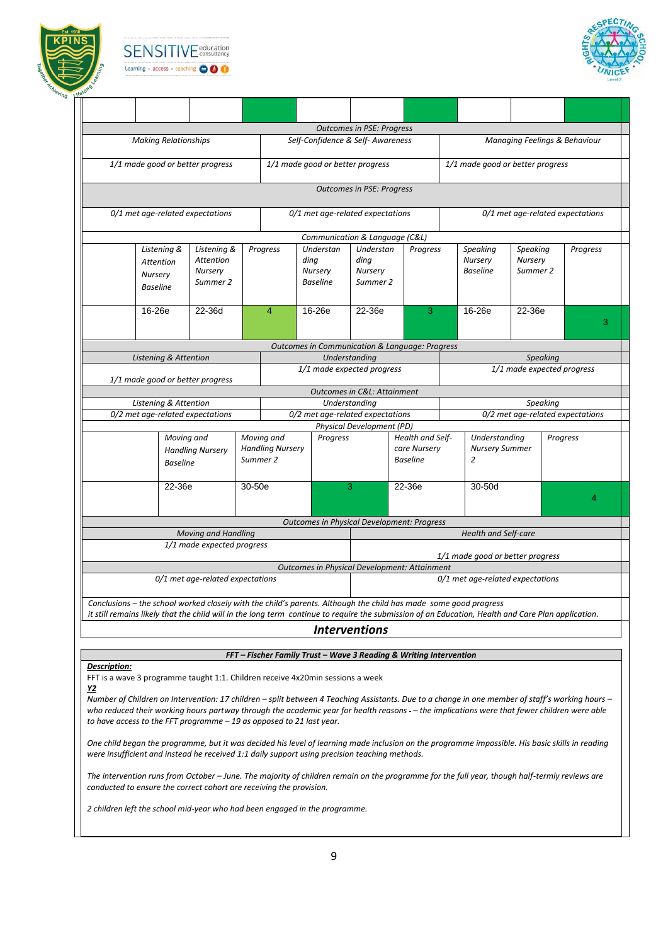





|                                                                                                                                                                                                                                                                        |                                                 |          |                                       |                                                 |   | <b>Outcomes in PSE: Progress</b>                  |                                                           |                                                          |                                 |                 |                                  |
|------------------------------------------------------------------------------------------------------------------------------------------------------------------------------------------------------------------------------------------------------------------------|-------------------------------------------------|----------|---------------------------------------|-------------------------------------------------|---|---------------------------------------------------|-----------------------------------------------------------|----------------------------------------------------------|---------------------------------|-----------------|----------------------------------|
| <b>Making Relationships</b>                                                                                                                                                                                                                                            |                                                 |          |                                       |                                                 |   | Self-Confidence & Self-Awareness                  |                                                           |                                                          |                                 |                 | Managing Feelings & Behaviour    |
| 1/1 made good or better progress                                                                                                                                                                                                                                       |                                                 |          |                                       |                                                 |   | 1/1 made good or better progress                  |                                                           | 1/1 made good or better progress                         |                                 |                 |                                  |
|                                                                                                                                                                                                                                                                        |                                                 |          |                                       |                                                 |   | <b>Outcomes in PSE: Progress</b>                  |                                                           |                                                          |                                 |                 |                                  |
| 0/1 met age-related expectations                                                                                                                                                                                                                                       |                                                 |          |                                       |                                                 |   | 0/1 met age-related expectations                  |                                                           |                                                          |                                 |                 | 0/1 met age-related expectations |
|                                                                                                                                                                                                                                                                        |                                                 |          |                                       |                                                 |   | Communication & Language (C&L)                    |                                                           |                                                          |                                 |                 |                                  |
| Listening &<br>Attention<br>Nursery<br><b>Baseline</b>                                                                                                                                                                                                                 | Listening &<br>Attention<br>Nursery<br>Summer 2 |          | Progress                              | Understan<br>dina<br>Nursery<br><b>Baseline</b> |   | Understan<br>ding<br>Nursery<br>Summer 2          | Progress                                                  | Speaking<br>Nursery<br><b>Baseline</b>                   | Speaking<br>Nursery<br>Summer 2 |                 | Progress                         |
| 16-26e                                                                                                                                                                                                                                                                 | 22-36d                                          |          | $\overline{4}$                        | 16-26e                                          |   | 22-36e                                            | 3                                                         | 16-26e                                                   | 22-36e                          |                 | 3                                |
|                                                                                                                                                                                                                                                                        |                                                 |          |                                       |                                                 |   |                                                   | <b>Outcomes in Communication &amp; Language: Progress</b> |                                                          |                                 |                 |                                  |
| Listening & Attention                                                                                                                                                                                                                                                  |                                                 |          |                                       |                                                 |   | Understanding                                     |                                                           |                                                          |                                 | <b>Speaking</b> |                                  |
| 1/1 made good or better progress                                                                                                                                                                                                                                       |                                                 |          |                                       |                                                 |   | 1/1 made expected progress                        |                                                           |                                                          |                                 |                 | 1/1 made expected progress       |
|                                                                                                                                                                                                                                                                        |                                                 |          |                                       |                                                 |   | Outcomes in C&L: Attainment                       |                                                           |                                                          |                                 |                 |                                  |
| Listening & Attention<br>0/2 met age-related expectations                                                                                                                                                                                                              |                                                 |          |                                       |                                                 |   | Understanding<br>0/2 met age-related expectations |                                                           |                                                          |                                 | Speaking        | 0/2 met age-related expectations |
|                                                                                                                                                                                                                                                                        |                                                 |          |                                       |                                                 |   | Physical Development (PD)                         |                                                           |                                                          |                                 |                 |                                  |
| Moving and<br><b>Baseline</b>                                                                                                                                                                                                                                          | <b>Handling Nursery</b>                         | Summer 2 | Moving and<br><b>Handling Nursery</b> | Progress                                        |   |                                                   | Health and Self-<br>care Nursery<br><b>Baseline</b>       | Understanding<br><b>Nursery Summer</b><br>$\overline{2}$ |                                 | <b>Progress</b> |                                  |
| 22-36e                                                                                                                                                                                                                                                                 |                                                 | 30-50e   |                                       |                                                 | 3 |                                                   | 22-36e                                                    | 30-50d                                                   |                                 |                 |                                  |
|                                                                                                                                                                                                                                                                        |                                                 |          |                                       |                                                 |   |                                                   | <b>Outcomes in Physical Development: Progress</b>         |                                                          |                                 |                 |                                  |
|                                                                                                                                                                                                                                                                        | <b>Moving and Handling</b>                      |          |                                       |                                                 |   |                                                   |                                                           | <b>Health and Self-care</b>                              |                                 |                 |                                  |
|                                                                                                                                                                                                                                                                        | 1/1 made expected progress                      |          |                                       |                                                 |   |                                                   |                                                           | 1/1 made good or better progress                         |                                 |                 |                                  |
|                                                                                                                                                                                                                                                                        |                                                 |          |                                       |                                                 |   |                                                   | <b>Outcomes in Physical Development: Attainment</b>       |                                                          |                                 |                 |                                  |
|                                                                                                                                                                                                                                                                        | 0/1 met age-related expectations                |          |                                       |                                                 |   |                                                   |                                                           | 0/1 met age-related expectations                         |                                 |                 |                                  |
| Conclusions - the school worked closely with the child's parents. Although the child has made some good progress<br>it still remains likely that the child will in the long term continue to require the submission of an Education, Health and Care Plan application. |                                                 |          |                                       |                                                 |   |                                                   |                                                           |                                                          |                                 |                 |                                  |
|                                                                                                                                                                                                                                                                        |                                                 |          |                                       |                                                 |   | <i><u><b>Interventions</b></u></i>                |                                                           |                                                          |                                 |                 |                                  |
|                                                                                                                                                                                                                                                                        |                                                 |          |                                       |                                                 |   |                                                   |                                                           |                                                          |                                 |                 |                                  |

#### *FFT – Fischer Family Trust – Wave 3 Reading & Writing Intervention*

#### *Description:*

FFT is a wave 3 programme taught 1:1. Children receive 4x20min sessions a week *Y2*

*Number of Children on Intervention: 17 children – split between 4 Teaching Assistants. Due to a change in one member of staff's working hours –* who reduced their working hours partway through the academic year for health reasons -- the implications were that fewer children were able *to have access to the FFT programme – 19 as opposed to 21 last year.* 

*One child began the programme, but it was decided his level of learning made inclusion on the programme impossible. His basic skills in reading were insufficient and instead he received 1:1 daily support using precision teaching methods.* 

*The intervention runs from October – June. The majority of children remain on the programme for the full year, though half-termly reviews are conducted to ensure the correct cohort are receiving the provision.* 

*2 children left the school mid-year who had been engaged in the programme.*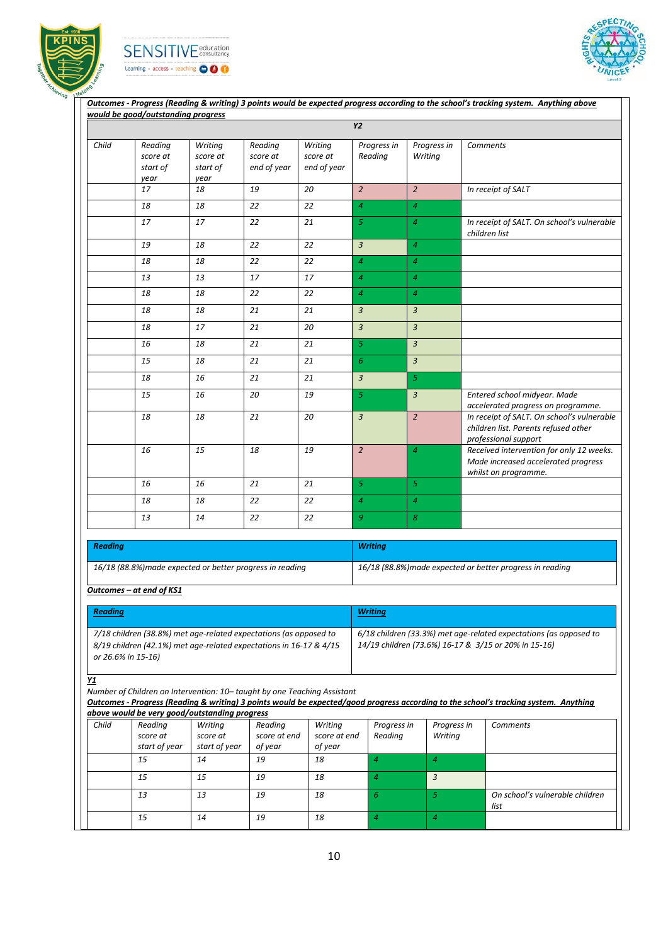





|                |                                                                                                                                         | would be good/outstanding progress      | Outcomes - Progress (Reading & writing) 3 points would be expected progress according to the school's tracking system. Anything above |                                    |                        |                        |                                                                                                                                      |
|----------------|-----------------------------------------------------------------------------------------------------------------------------------------|-----------------------------------------|---------------------------------------------------------------------------------------------------------------------------------------|------------------------------------|------------------------|------------------------|--------------------------------------------------------------------------------------------------------------------------------------|
|                |                                                                                                                                         |                                         |                                                                                                                                       |                                    | Y2                     |                        |                                                                                                                                      |
| Child          | Reading<br>score at<br>start of<br>year                                                                                                 | Writing<br>score at<br>start of<br>year | Reading<br>score at<br>end of year                                                                                                    | Writing<br>score at<br>end of year | Progress in<br>Reading | Progress in<br>Writing | <b>Comments</b>                                                                                                                      |
|                | 17                                                                                                                                      | 18                                      | 19                                                                                                                                    | 20                                 | $\overline{2}$         | $\overline{2}$         | In receipt of SALT                                                                                                                   |
|                | 18                                                                                                                                      | 18                                      | 22                                                                                                                                    | 22                                 | $\overline{4}$         | $\overline{4}$         |                                                                                                                                      |
|                | 17                                                                                                                                      | 17                                      | 22                                                                                                                                    | 21                                 | 5                      | $\overline{4}$         | In receipt of SALT. On school's vulnerable<br>children list                                                                          |
|                | 19                                                                                                                                      | 18                                      | 22                                                                                                                                    | 22                                 | 3                      | $\overline{4}$         |                                                                                                                                      |
|                | 18                                                                                                                                      | 18                                      | 22                                                                                                                                    | 22                                 | 4                      | $\overline{4}$         |                                                                                                                                      |
|                | 13                                                                                                                                      | 13                                      | 17                                                                                                                                    | 17                                 | $\overline{4}$         | $\overline{4}$         |                                                                                                                                      |
|                | 18                                                                                                                                      | 18                                      | 22                                                                                                                                    | 22                                 | $\overline{4}$         | $\overline{4}$         |                                                                                                                                      |
|                | 18                                                                                                                                      | 18                                      | 21                                                                                                                                    | 21                                 | 3                      | $\mathfrak{Z}$         |                                                                                                                                      |
|                | 18                                                                                                                                      | 17                                      | 21                                                                                                                                    | 20                                 | 3                      | $\overline{3}$         |                                                                                                                                      |
|                | 16                                                                                                                                      | 18                                      | 21                                                                                                                                    | 21                                 | 5                      | $\overline{3}$         |                                                                                                                                      |
|                | 15                                                                                                                                      | 18                                      | 21                                                                                                                                    | 21                                 | 6                      | $\mathbf{3}$           |                                                                                                                                      |
|                | 18                                                                                                                                      | 16                                      | 21                                                                                                                                    | 21                                 | 3                      | $\mathfrak{S}$         |                                                                                                                                      |
|                | 15                                                                                                                                      | 16                                      | 20                                                                                                                                    | 19                                 | 5                      | $\mathbf{3}$           | Entered school midyear. Made<br>accelerated progress on programme.                                                                   |
|                | 18                                                                                                                                      | 18                                      | 21                                                                                                                                    | 20                                 | $\overline{3}$         | $\overline{2}$         | In receipt of SALT. On school's vulnerable<br>children list. Parents refused other<br>professional support                           |
|                | 16                                                                                                                                      | 15                                      | 18                                                                                                                                    | 19                                 | $\overline{2}$         | $\overline{4}$         | Received intervention for only 12 weeks.<br>Made increased accelerated progress<br>whilst on programme.                              |
|                | 16                                                                                                                                      | 16                                      | 21                                                                                                                                    | 21                                 | 5 <sup>1</sup>         | 5 <sup>1</sup>         |                                                                                                                                      |
|                | 18                                                                                                                                      | 18                                      | 22                                                                                                                                    | 22                                 | $\overline{4}$         | $\overline{4}$         |                                                                                                                                      |
|                | 13                                                                                                                                      | 14                                      | 22                                                                                                                                    | 22                                 | 9                      | 8                      |                                                                                                                                      |
|                |                                                                                                                                         |                                         |                                                                                                                                       |                                    |                        |                        |                                                                                                                                      |
| <b>Reading</b> |                                                                                                                                         |                                         |                                                                                                                                       |                                    | <b>Writing</b>         |                        |                                                                                                                                      |
|                |                                                                                                                                         |                                         |                                                                                                                                       |                                    |                        |                        |                                                                                                                                      |
|                | 16/18 (88.8%) made expected or better progress in reading                                                                               |                                         |                                                                                                                                       |                                    |                        |                        | 16/18 (88.8%) made expected or better progress in reading                                                                            |
|                | Outcomes - at end of KS1                                                                                                                |                                         |                                                                                                                                       |                                    |                        |                        |                                                                                                                                      |
| <b>Reading</b> |                                                                                                                                         |                                         |                                                                                                                                       |                                    | <b>Writing</b>         |                        |                                                                                                                                      |
|                |                                                                                                                                         |                                         |                                                                                                                                       |                                    |                        |                        |                                                                                                                                      |
|                | 7/18 children (38.8%) met age-related expectations (as opposed to<br>8/19 children (42.1%) met age-related expectations in 16-17 & 4/15 |                                         |                                                                                                                                       |                                    |                        |                        | 6/18 children (33.3%) met age-related expectations (as opposed to<br>14/19 children (73.6%) 16-17 & 3/15 or 20% in 15-16)            |
|                | or 26.6% in 15-16)                                                                                                                      |                                         |                                                                                                                                       |                                    |                        |                        |                                                                                                                                      |
|                |                                                                                                                                         |                                         |                                                                                                                                       |                                    |                        |                        |                                                                                                                                      |
|                | Number of Children on Intervention: 10-taught by one Teaching Assistant                                                                 |                                         |                                                                                                                                       |                                    |                        |                        |                                                                                                                                      |
|                | above would be very good/outstanding progress                                                                                           |                                         |                                                                                                                                       |                                    |                        |                        | Outcomes - Progress (Reading & writing) 3 points would be expected/good progress according to the school's tracking system. Anything |
| Child          | Reading                                                                                                                                 | Writing                                 | Reading                                                                                                                               | Writing                            | Progress in            | Progress in            | <b>Comments</b>                                                                                                                      |
|                | score at<br>start of year                                                                                                               | score at<br>start of year               | score at end<br>of year                                                                                                               | score at end<br>of year            | Reading                | Writing                |                                                                                                                                      |
|                | 15                                                                                                                                      | 14                                      | 19                                                                                                                                    | 18                                 | $\overline{4}$         | $\overline{4}$         |                                                                                                                                      |
|                | 15                                                                                                                                      | 15                                      | 19                                                                                                                                    | 18                                 | $\overline{4}$         | 3                      |                                                                                                                                      |
|                | 13                                                                                                                                      | 13                                      | 19                                                                                                                                    | 18                                 | 6                      | 5                      | On school's vulnerable children<br>list                                                                                              |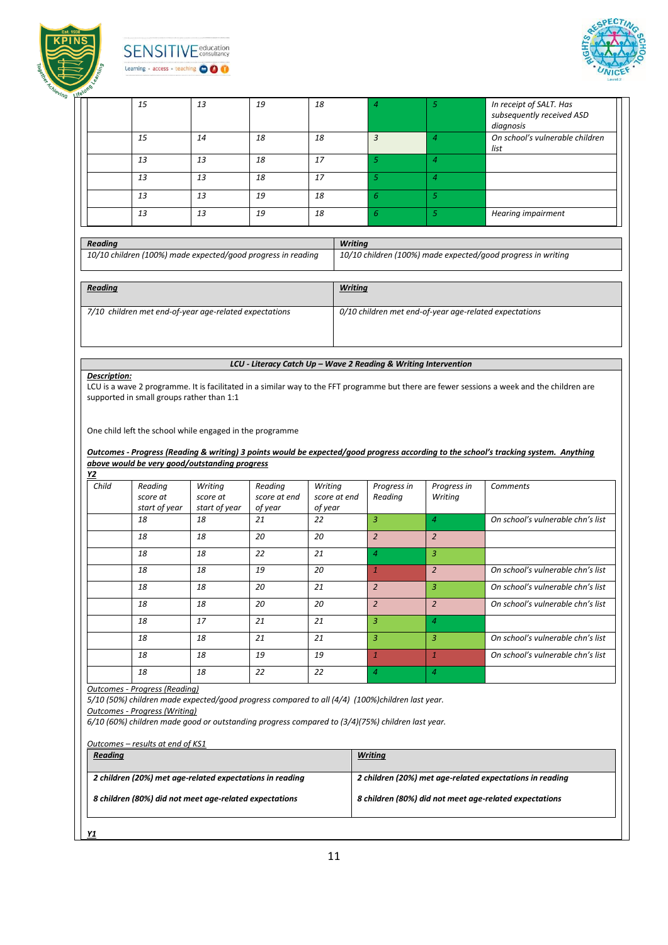

# **SENSITIVE** education Learning + access + teaching OOO



|                |                                                                                                                                                                                                                                                                                       |                     |                         |                         |                        |                                                                 | In receipt of SALT. Has                                                                                                                                                                                                    |
|----------------|---------------------------------------------------------------------------------------------------------------------------------------------------------------------------------------------------------------------------------------------------------------------------------------|---------------------|-------------------------|-------------------------|------------------------|-----------------------------------------------------------------|----------------------------------------------------------------------------------------------------------------------------------------------------------------------------------------------------------------------------|
|                | 15                                                                                                                                                                                                                                                                                    | 13                  | 19                      | 18                      | 4                      | 5                                                               | subsequently received ASD<br>diagnosis                                                                                                                                                                                     |
|                | 15                                                                                                                                                                                                                                                                                    | 14                  | 18                      | 18                      | $\overline{3}$         | $\overline{4}$                                                  | On school's vulnerable children<br>list                                                                                                                                                                                    |
|                | 13                                                                                                                                                                                                                                                                                    | 13                  | 18                      | 17                      | 5                      | $\overline{4}$                                                  |                                                                                                                                                                                                                            |
|                | 13                                                                                                                                                                                                                                                                                    | 13                  | 18                      | 17                      | $\overline{5}$         | $\overline{4}$                                                  |                                                                                                                                                                                                                            |
|                | 13                                                                                                                                                                                                                                                                                    | 13                  | 19                      | 18                      | 6                      | 5                                                               |                                                                                                                                                                                                                            |
|                | 13                                                                                                                                                                                                                                                                                    | 13                  | 19                      | 18                      | 6                      | $\mathfrak{S}$                                                  | <b>Hearing impairment</b>                                                                                                                                                                                                  |
|                |                                                                                                                                                                                                                                                                                       |                     |                         |                         |                        |                                                                 |                                                                                                                                                                                                                            |
| <b>Reading</b> | 10/10 children (100%) made expected/good progress in reading                                                                                                                                                                                                                          |                     |                         |                         | <b>Writing</b>         |                                                                 | 10/10 children (100%) made expected/good progress in writing                                                                                                                                                               |
| <b>Reading</b> |                                                                                                                                                                                                                                                                                       |                     |                         |                         | <b>Writing</b>         |                                                                 |                                                                                                                                                                                                                            |
|                | 7/10 children met end-of-year age-related expectations                                                                                                                                                                                                                                |                     |                         |                         |                        | 0/10 children met end-of-year age-related expectations          |                                                                                                                                                                                                                            |
|                |                                                                                                                                                                                                                                                                                       |                     |                         |                         |                        |                                                                 |                                                                                                                                                                                                                            |
| Description:   |                                                                                                                                                                                                                                                                                       |                     |                         |                         |                        | LCU - Literacy Catch Up - Wave 2 Reading & Writing Intervention |                                                                                                                                                                                                                            |
|                |                                                                                                                                                                                                                                                                                       |                     |                         |                         |                        |                                                                 |                                                                                                                                                                                                                            |
|                | One child left the school while engaged in the programme<br>above would be very good/outstanding progress                                                                                                                                                                             |                     |                         |                         |                        |                                                                 | Outcomes - Progress (Reading & writing) 3 points would be expected/good progress according to the school's tracking system. Anything                                                                                       |
|                | Reading<br>score at                                                                                                                                                                                                                                                                   | Writing<br>score at | Reading<br>score at end | Writing<br>score at end | Progress in<br>Reading | Progress in<br>Writing                                          | <b>Comments</b>                                                                                                                                                                                                            |
|                | start of year<br>18                                                                                                                                                                                                                                                                   | start of year<br>18 | of year<br>21           | of year<br>22           | 3                      | $\overline{4}$                                                  |                                                                                                                                                                                                                            |
|                | 18                                                                                                                                                                                                                                                                                    | 18                  | 20                      | 20                      | $\overline{2}$         | $\overline{2}$                                                  |                                                                                                                                                                                                                            |
|                | 18                                                                                                                                                                                                                                                                                    | 18                  | 22                      | 21                      | $\overline{4}$         | 3                                                               |                                                                                                                                                                                                                            |
|                | 18                                                                                                                                                                                                                                                                                    | 18                  | 19                      | 20                      | $\mathbf{1}$           | $\overline{2}$                                                  |                                                                                                                                                                                                                            |
|                | 18                                                                                                                                                                                                                                                                                    | 18                  | 20                      | 21                      | $\overline{2}$         | 3                                                               |                                                                                                                                                                                                                            |
|                | 18                                                                                                                                                                                                                                                                                    | 18                  | 20                      | 20                      | $\overline{2}$         | $\overline{2}$                                                  |                                                                                                                                                                                                                            |
|                | 18                                                                                                                                                                                                                                                                                    | 17                  | 21                      | 21                      | 3                      | $\overline{4}$                                                  |                                                                                                                                                                                                                            |
|                | 18                                                                                                                                                                                                                                                                                    | 18                  | 21                      | 21                      | 3                      | 3                                                               |                                                                                                                                                                                                                            |
|                | 18                                                                                                                                                                                                                                                                                    | 18                  | 19                      | 19                      | $\mathbf{1}$           | $\mathbf{1}$                                                    |                                                                                                                                                                                                                            |
|                | 18                                                                                                                                                                                                                                                                                    | 18                  | 22                      | 22                      | $\overline{4}$         | $\overline{4}$                                                  |                                                                                                                                                                                                                            |
| Y2<br>Child    | <b>Outcomes - Progress (Reading)</b><br>5/10 (50%) children made expected/good progress compared to all (4/4) (100%)children last year.<br><b>Outcomes - Progress (Writing)</b><br>$6/10$ (60%) children made good or outstanding progress compared to (3/4)(75%) children last year. |                     |                         |                         |                        |                                                                 | On school's vulnerable chn's list<br>On school's vulnerable chn's list<br>On school's vulnerable chn's list<br>On school's vulnerable chn's list<br>On school's vulnerable chn's list<br>On school's vulnerable chn's list |
| <b>Reading</b> | Outcomes - results at end of KS1<br>2 children (20%) met age-related expectations in reading                                                                                                                                                                                          |                     |                         |                         | <b>Writing</b>         |                                                                 | 2 children (20%) met age-related expectations in reading                                                                                                                                                                   |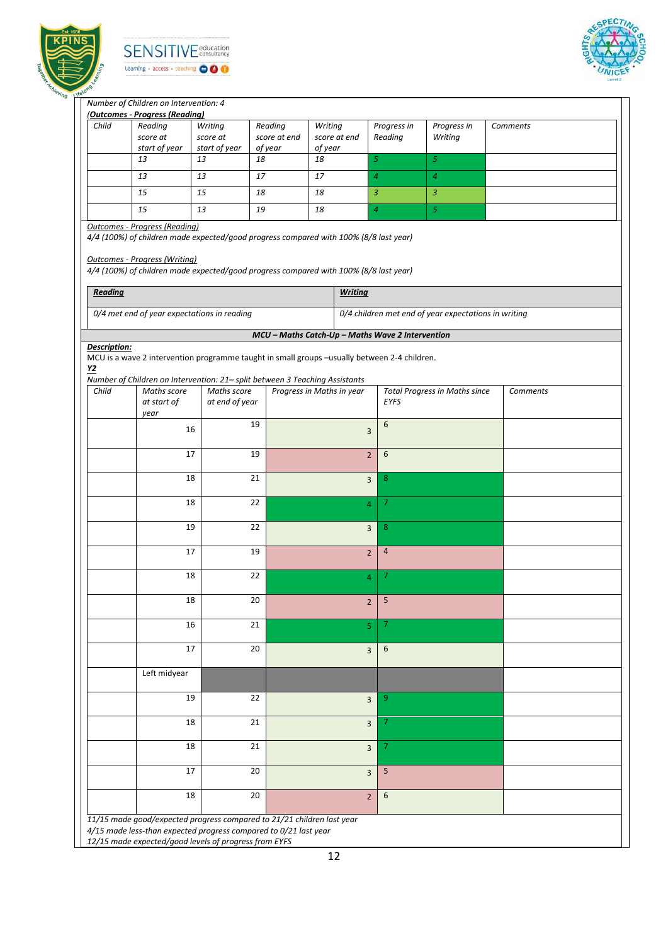





┑

#### *Number of Children on Intervention: 4*

|                                  | (Outcomes - Progress (Reading)                                                                                                                                                                                         |                     |                                                  |                           |                  |                |                                                      |          |
|----------------------------------|------------------------------------------------------------------------------------------------------------------------------------------------------------------------------------------------------------------------|---------------------|--------------------------------------------------|---------------------------|------------------|----------------|------------------------------------------------------|----------|
| Child                            | Reading                                                                                                                                                                                                                | Writing             | Reading                                          | Writing                   |                  | Progress in    | Progress in                                          | Comments |
|                                  | score at                                                                                                                                                                                                               | score at            | score at end                                     | score at end              |                  | Reading        | Writing                                              |          |
|                                  | start of year<br>13                                                                                                                                                                                                    | start of year<br>13 | of year<br>18                                    | of year<br>18             | $\sqrt{5}$       |                | $\sqrt{5}$                                           |          |
|                                  |                                                                                                                                                                                                                        |                     |                                                  |                           |                  |                |                                                      |          |
|                                  | 13                                                                                                                                                                                                                     | 13                  | 17                                               | 17                        | $\boldsymbol{4}$ |                | $\overline{4}$                                       |          |
|                                  | 15                                                                                                                                                                                                                     | 15                  | 18                                               | 18                        | $\mathfrak{Z}$   |                | $\mathfrak{Z}$                                       |          |
|                                  | 15                                                                                                                                                                                                                     | 13                  | 19                                               | 18                        | $\overline{a}$   |                | $\sqrt{5}$                                           |          |
|                                  | <b>Outcomes - Progress (Reading)</b>                                                                                                                                                                                   |                     |                                                  |                           |                  |                |                                                      |          |
|                                  | 4/4 (100%) of children made expected/good progress compared with 100% (8/8 last year)<br><b>Outcomes - Progress (Writing)</b><br>4/4 (100%) of children made expected/good progress compared with 100% (8/8 last year) |                     |                                                  |                           |                  |                |                                                      |          |
| Reading                          |                                                                                                                                                                                                                        |                     |                                                  |                           | <b>Writing</b>   |                |                                                      |          |
|                                  |                                                                                                                                                                                                                        |                     |                                                  |                           |                  |                |                                                      |          |
|                                  | 0/4 met end of year expectations in reading                                                                                                                                                                            |                     |                                                  |                           |                  |                | 0/4 children met end of year expectations in writing |          |
|                                  |                                                                                                                                                                                                                        |                     | MCU - Maths Catch-Up - Maths Wave 2 Intervention |                           |                  |                |                                                      |          |
| Description:<br>$\underline{Y2}$ | MCU is a wave 2 intervention programme taught in small groups -usually between 2-4 children.<br>Number of Children on Intervention: 21- split between 3 Teaching Assistants                                            |                     |                                                  |                           |                  |                |                                                      |          |
| Child                            | Maths score                                                                                                                                                                                                            | Maths score         |                                                  | Progress in Maths in year |                  |                | <b>Total Progress in Maths since</b>                 | Comments |
|                                  | at start of<br>year                                                                                                                                                                                                    | at end of year      |                                                  |                           |                  | EYFS           |                                                      |          |
|                                  |                                                                                                                                                                                                                        |                     | 19                                               |                           |                  | 6              |                                                      |          |
|                                  | 16                                                                                                                                                                                                                     |                     |                                                  |                           | 3                |                |                                                      |          |
|                                  | 17                                                                                                                                                                                                                     |                     | 19                                               |                           | $\overline{2}$   | 6              |                                                      |          |
|                                  |                                                                                                                                                                                                                        |                     |                                                  |                           |                  |                |                                                      |          |
|                                  | 18                                                                                                                                                                                                                     |                     | 21                                               |                           | $\overline{3}$   | 8 <sub>o</sub> |                                                      |          |
|                                  |                                                                                                                                                                                                                        |                     |                                                  |                           |                  |                |                                                      |          |
|                                  | 18                                                                                                                                                                                                                     |                     | 22                                               |                           | $\overline{4}$   | $\overline{7}$ |                                                      |          |
|                                  |                                                                                                                                                                                                                        |                     |                                                  |                           |                  |                |                                                      |          |
|                                  | 19                                                                                                                                                                                                                     |                     | 22                                               |                           | 3                | 8              |                                                      |          |
|                                  | 17                                                                                                                                                                                                                     |                     | 19                                               |                           |                  | $\overline{4}$ |                                                      |          |
|                                  |                                                                                                                                                                                                                        |                     |                                                  |                           | $\overline{2}$   |                |                                                      |          |
|                                  | 18                                                                                                                                                                                                                     |                     | 22                                               |                           | $\overline{4}$   | $\overline{7}$ |                                                      |          |
|                                  |                                                                                                                                                                                                                        |                     |                                                  |                           |                  |                |                                                      |          |
|                                  | 18                                                                                                                                                                                                                     |                     | 20                                               |                           | $\overline{2}$   | 5              |                                                      |          |
|                                  |                                                                                                                                                                                                                        |                     |                                                  |                           |                  |                |                                                      |          |
|                                  | 16                                                                                                                                                                                                                     |                     | 21                                               |                           | 5                | 7              |                                                      |          |
|                                  | 17                                                                                                                                                                                                                     |                     | 20                                               |                           |                  | 6              |                                                      |          |
|                                  |                                                                                                                                                                                                                        |                     |                                                  |                           | $\overline{3}$   |                |                                                      |          |
|                                  | Left midyear                                                                                                                                                                                                           |                     |                                                  |                           |                  |                |                                                      |          |
|                                  |                                                                                                                                                                                                                        |                     |                                                  |                           |                  |                |                                                      |          |
|                                  |                                                                                                                                                                                                                        |                     | 22                                               |                           | 3                | 9              |                                                      |          |
|                                  | 19                                                                                                                                                                                                                     |                     |                                                  |                           |                  |                |                                                      |          |
|                                  |                                                                                                                                                                                                                        |                     |                                                  |                           |                  |                |                                                      |          |
|                                  | 18                                                                                                                                                                                                                     |                     | 21                                               |                           | 3                | 7 <sup>1</sup> |                                                      |          |
|                                  |                                                                                                                                                                                                                        |                     |                                                  |                           |                  |                |                                                      |          |
|                                  | 18                                                                                                                                                                                                                     |                     | 21                                               |                           | $\overline{3}$   | $\mathcal{I}$  |                                                      |          |
|                                  | 17                                                                                                                                                                                                                     |                     | 20                                               |                           |                  | 5 <sub>5</sub> |                                                      |          |
|                                  |                                                                                                                                                                                                                        |                     |                                                  |                           | $\overline{3}$   |                |                                                      |          |
|                                  | 18                                                                                                                                                                                                                     |                     | 20                                               |                           | $\overline{2}$   | 6              |                                                      |          |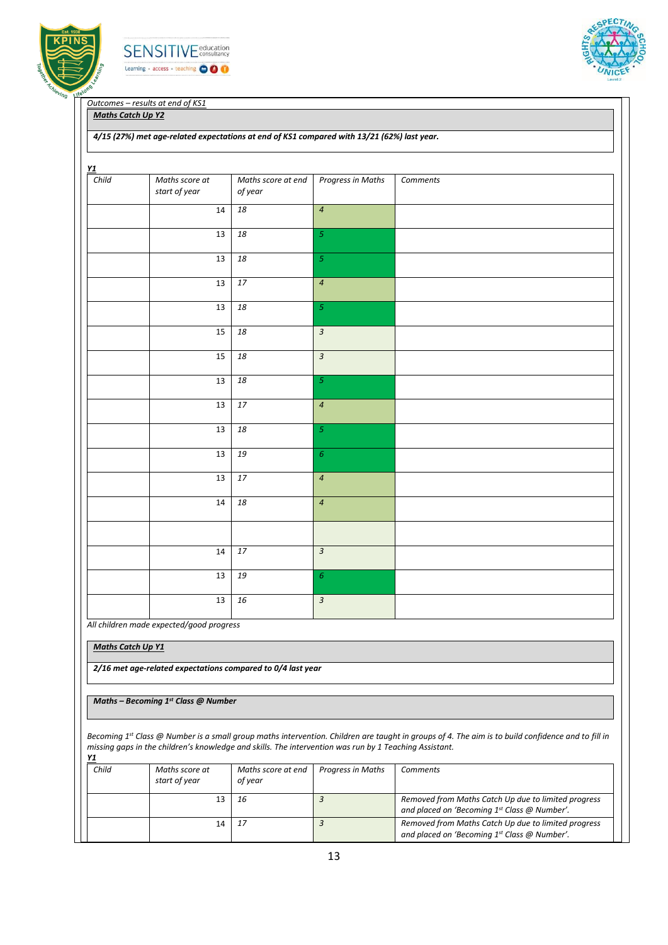





*Outcomes – results at end of KS1*

*Maths Catch Up Y2*

#### *4/15 (27%) met age-related expectations at end of KS1 compared with 13/21 (62%) last year.*

| Child | Maths score at | Maths score at end | <b>Progress in Maths</b>  | Comments |
|-------|----------------|--------------------|---------------------------|----------|
|       | start of year  | of year            |                           |          |
|       | 14             | 18                 | $\overline{4}$            |          |
|       |                |                    |                           |          |
|       | 13             | 18                 | $\overline{\mathfrak{s}}$ |          |
|       | 13             | 18                 | $\overline{\mathfrak{s}}$ |          |
|       |                |                    |                           |          |
|       | 13             | 17                 | $\overline{4}$            |          |
|       |                |                    |                           |          |
|       | 13             | 18                 | $\overline{5}$            |          |
|       | 15             | 18                 | $\overline{3}$            |          |
|       |                |                    |                           |          |
|       | 15             | 18                 | $\overline{3}$            |          |
|       | 13             | 18                 | $\sqrt{5}$                |          |
|       |                |                    |                           |          |
|       | 13             | 17                 | $\overline{4}$            |          |
|       |                |                    |                           |          |
|       | 13             | 18                 | $\sqrt{5}$                |          |
|       | 13             | 19                 | $\sqrt{6}$                |          |
|       |                |                    |                           |          |
|       | 13             | 17                 | $\overline{a}$            |          |
|       | 14             | 18                 | $\boldsymbol{4}$          |          |
|       |                |                    |                           |          |
|       |                |                    |                           |          |
|       |                |                    |                           |          |
|       | 14             | 17                 | $\overline{3}$            |          |
|       | 13             | 19                 | $\epsilon$                |          |
|       |                |                    |                           |          |
|       | 13             | 16                 | $\overline{\mathbf{3}}$   |          |

*All children made expected/good progress*

*Maths Catch Up Y1*

*2/16 met age-related expectations compared to 0/4 last year*

*Maths – Becoming 1st Class @ Number*

*Becoming 1st Class @ Number is a small group maths intervention. Children are taught in groups of 4. The aim is to build confidence and to fill in missing gaps in the children's knowledge and skills. The intervention was run by 1 Teaching Assistant. Y1*

| Child | Maths score at<br>start of year | Maths score at end<br>Progress in Maths<br>of year |  | Comments                                                                                            |  |  |  |
|-------|---------------------------------|----------------------------------------------------|--|-----------------------------------------------------------------------------------------------------|--|--|--|
|       |                                 | 16                                                 |  | Removed from Maths Catch Up due to limited progress<br>and placed on 'Becoming 1st Class @ Number'. |  |  |  |
|       | 14                              | -17                                                |  | Removed from Maths Catch Up due to limited progress<br>and placed on 'Becoming 1st Class @ Number'. |  |  |  |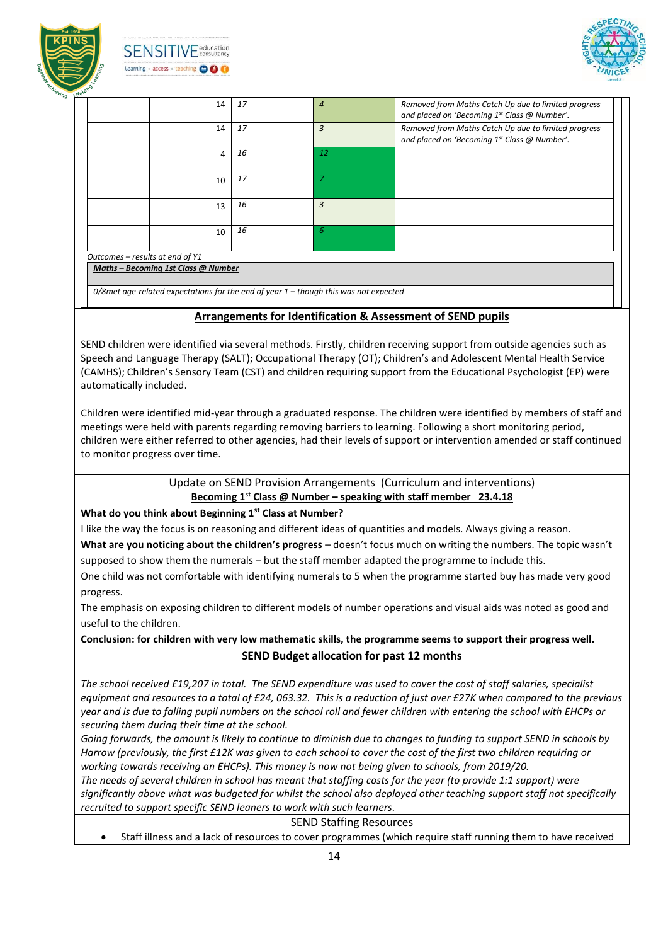

**SENSITIVE** education Learning - access - teaching OOO



| 17 | $\overline{4}$                      | Removed from Maths Catch Up due to limited progress<br>and placed on 'Becoming 1st Class @ Number'. |
|----|-------------------------------------|-----------------------------------------------------------------------------------------------------|
| 17 | 3                                   | Removed from Maths Catch Up due to limited progress<br>and placed on 'Becoming 1st Class @ Number'. |
| 16 | 12                                  |                                                                                                     |
| 17 |                                     |                                                                                                     |
| 16 | 3                                   |                                                                                                     |
| 16 | 6                                   |                                                                                                     |
|    |                                     |                                                                                                     |
|    |                                     |                                                                                                     |
|    | Maths - Becoming 1st Class @ Number |                                                                                                     |

## **Arrangements for Identification & Assessment of SEND pupils**

SEND children were identified via several methods. Firstly, children receiving support from outside agencies such as Speech and Language Therapy (SALT); Occupational Therapy (OT); Children's and Adolescent Mental Health Service (CAMHS); Children's Sensory Team (CST) and children requiring support from the Educational Psychologist (EP) were automatically included.

Children were identified mid-year through a graduated response. The children were identified by members of staff and meetings were held with parents regarding removing barriers to learning. Following a short monitoring period, children were either referred to other agencies, had their levels of support or intervention amended or staff continued to monitor progress over time.

> Update on SEND Provision Arrangements (Curriculum and interventions) **Becoming 1st Class @ Number – speaking with staff member 23.4.18**

#### **What do you think about Beginning 1st Class at Number?**

I like the way the focus is on reasoning and different ideas of quantities and models. Always giving a reason. **What are you noticing about the children's progress** – doesn't focus much on writing the numbers. The topic wasn't

supposed to show them the numerals – but the staff member adapted the programme to include this.

One child was not comfortable with identifying numerals to 5 when the programme started buy has made very good progress.

The emphasis on exposing children to different models of number operations and visual aids was noted as good and useful to the children.

**Conclusion: for children with very low mathematic skills, the programme seems to support their progress well. SEND Budget allocation for past 12 months**

*The school received £19,207 in total. The SEND expenditure was used to cover the cost of staff salaries, specialist equipment and resources to a total of £24, 063.32. This is a reduction of just over £27K when compared to the previous year and is due to falling pupil numbers on the school roll and fewer children with entering the school with EHCPs or securing them during their time at the school.* 

*Going forwards, the amount is likely to continue to diminish due to changes to funding to support SEND in schools by Harrow (previously, the first £12K was given to each school to cover the cost of the first two children requiring or working towards receiving an EHCPs). This money is now not being given to schools, from 2019/20.*

*The needs of several children in school has meant that staffing costs for the year (to provide 1:1 support) were significantly above what was budgeted for whilst the school also deployed other teaching support staff not specifically recruited to support specific SEND leaners to work with such learners.* 

SEND Staffing Resources

Staff illness and a lack of resources to cover programmes (which require staff running them to have received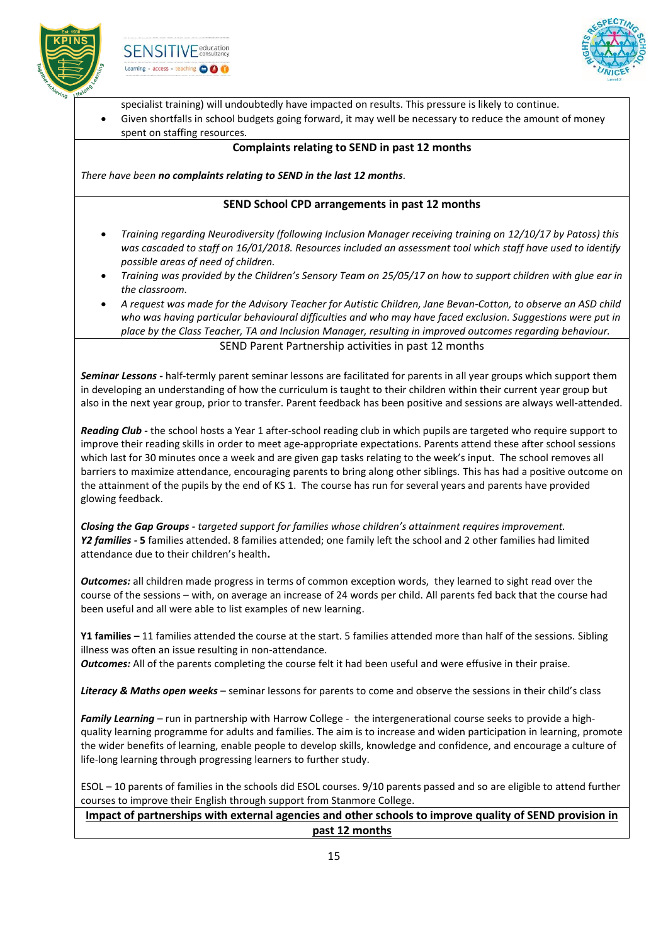





specialist training) will undoubtedly have impacted on results. This pressure is likely to continue.

 Given shortfalls in school budgets going forward, it may well be necessary to reduce the amount of money spent on staffing resources.

### **Complaints relating to SEND in past 12 months**

*There have been no complaints relating to SEND in the last 12 months.*

### **SEND School CPD arrangements in past 12 months**

- *Training regarding Neurodiversity (following Inclusion Manager receiving training on 12/10/17 by Patoss) this was cascaded to staff on 16/01/2018. Resources included an assessment tool which staff have used to identify possible areas of need of children.*
- *Training was provided by the Children's Sensory Team on 25/05/17 on how to support children with glue ear in the classroom.*
- *A request was made for the Advisory Teacher for Autistic Children, Jane Bevan-Cotton, to observe an ASD child who was having particular behavioural difficulties and who may have faced exclusion. Suggestions were put in place by the Class Teacher, TA and Inclusion Manager, resulting in improved outcomes regarding behaviour.*

SEND Parent Partnership activities in past 12 months

*Seminar Lessons -* half-termly parent seminar lessons are facilitated for parents in all year groups which support them in developing an understanding of how the curriculum is taught to their children within their current year group but also in the next year group, prior to transfer. Parent feedback has been positive and sessions are always well-attended.

*Reading Club -* the school hosts a Year 1 after-school reading club in which pupils are targeted who require support to improve their reading skills in order to meet age-appropriate expectations. Parents attend these after school sessions which last for 30 minutes once a week and are given gap tasks relating to the week's input. The school removes all barriers to maximize attendance, encouraging parents to bring along other siblings. This has had a positive outcome on the attainment of the pupils by the end of KS 1. The course has run for several years and parents have provided glowing feedback.

*Closing the Gap Groups - targeted support for families whose children's attainment requires improvement. Y2 families -* **5** families attended. 8 families attended; one family left the school and 2 other families had limited attendance due to their children's health**.**

*Outcomes:* all children made progress in terms of common exception words, they learned to sight read over the course of the sessions – with, on average an increase of 24 words per child. All parents fed back that the course had been useful and all were able to list examples of new learning.

**Y1 families –** 11 families attended the course at the start. 5 families attended more than half of the sessions. Sibling illness was often an issue resulting in non-attendance.

*Outcomes:* All of the parents completing the course felt it had been useful and were effusive in their praise.

*Literacy & Maths open weeks* – seminar lessons for parents to come and observe the sessions in their child's class

*Family Learning* – run in partnership with Harrow College - the intergenerational course seeks to provide a highquality learning programme for adults and families. The aim is to increase and widen participation in learning, promote the wider benefits of learning, enable people to develop skills, knowledge and confidence, and encourage a culture of life-long learning through progressing learners to further study.

ESOL – 10 parents of families in the schools did ESOL courses. 9/10 parents passed and so are eligible to attend further courses to improve their English through support from Stanmore College.

**Impact of partnerships with external agencies and other schools to improve quality of SEND provision in past 12 months**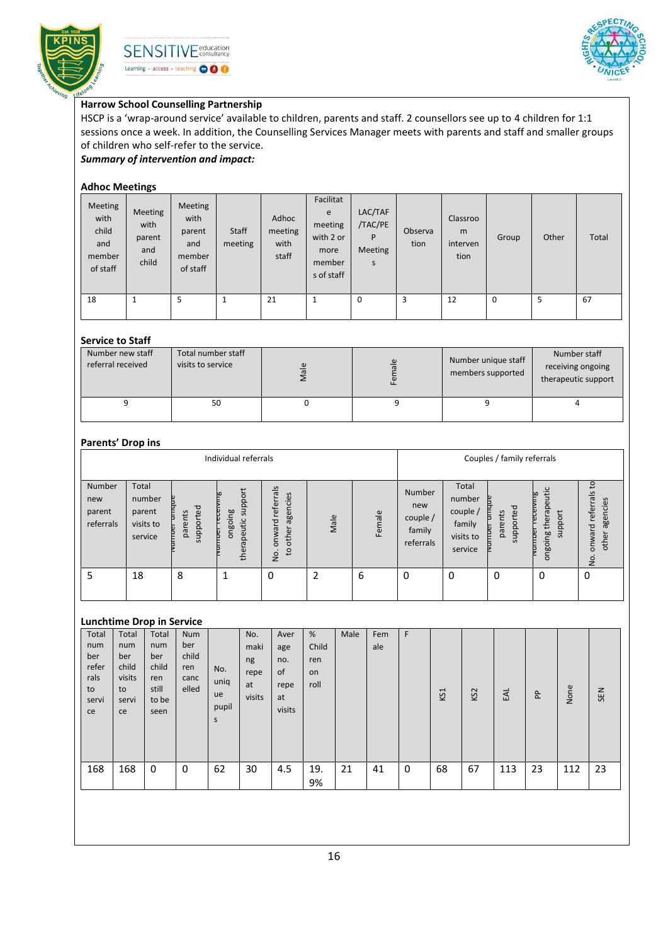





# **Harrow School Counselling Partnership**

HSCP is a 'wrap-around service' available to children, parents and staff. 2 counsellors see up to 4 children for 1:1 sessions once a week. In addition, the Counselling Services Manager meets with parents and staff and smaller groups of children who self-refer to the service.

*Summary of intervention and impact:*

## **Adhoc Meetings**

| Meeting<br>with<br>child<br>and<br>member<br>of staff | Meeting<br>with<br>parent<br>and<br>child | Meeting<br>with<br>parent<br>and<br>member<br>of staff | Staff<br>meeting | Adhoc<br>meeting<br>with<br>staff | Facilitat<br>e<br>meeting<br>with 2 or<br>more<br>member<br>s of staff | LAC/TAF<br>/TAC/PE<br>P<br><b>Meeting</b><br>S | Observa<br>tion | Classroo<br>m<br>interven<br>tion | Group | Other | Total |
|-------------------------------------------------------|-------------------------------------------|--------------------------------------------------------|------------------|-----------------------------------|------------------------------------------------------------------------|------------------------------------------------|-----------------|-----------------------------------|-------|-------|-------|
| 18                                                    |                                           | 5                                                      | 1                | 21                                | ш                                                                      | 0                                              | 3               | 12                                | 0     | 5     | 67    |

#### **Service to Staff**

| 501111                                |                                         |               |          |                                          |                                                          |
|---------------------------------------|-----------------------------------------|---------------|----------|------------------------------------------|----------------------------------------------------------|
| Number new staff<br>referral received | Total number staff<br>visits to service | $\frac{e}{a}$ | $\omega$ | Number unique staff<br>members supported | Number staff<br>receiving ongoing<br>therapeutic support |
|                                       | 50                                      |               |          |                                          |                                                          |

#### **Parents' Drop ins**

|                                      | Individual referrals                              |                          |                                       |                                                                                                       |      |        |                                                           |                                                                            | Couples / family referrals   |                                                              |                                                           |  |
|--------------------------------------|---------------------------------------------------|--------------------------|---------------------------------------|-------------------------------------------------------------------------------------------------------|------|--------|-----------------------------------------------------------|----------------------------------------------------------------------------|------------------------------|--------------------------------------------------------------|-----------------------------------------------------------|--|
| Number<br>new<br>parent<br>referrals | Total<br>number<br>parent<br>visits to<br>service | ted<br>parents<br>suppor | support<br>aujoauo<br>peutic<br>thera | $\overline{s}$<br>σ<br>agencies<br>refer<br>$\overline{\sigma}$<br>other<br>nwa<br>$\mathsf{c}$<br>ģ. | Male | Female | <b>Number</b><br>new<br>couple $/$<br>family<br>referrals | Total<br>number<br>couple $\overline{a}$<br>family<br>visits to<br>service | Б<br>supported<br>ents<br>ga | apeutic<br>مط<br>ť<br>ther;<br>loddns<br><b>BuioBuo</b><br>Б | °4<br>referrals<br>agencies<br>onward<br>other<br>o.<br>2 |  |
| 5                                    | 18                                                | 8                        |                                       | 0                                                                                                     | 2    | 6      | 0                                                         | 0                                                                          | 0                            | 0                                                            | 0                                                         |  |

# **Lunchtime Drop in Service**

| Total                                            | Total                                              | . .<br>Total                                         | <b>Num</b>                           |                                 | No.                                | Aver                                     | %                          | Male | Fem | F |     |                 |     |    |      |     |
|--------------------------------------------------|----------------------------------------------------|------------------------------------------------------|--------------------------------------|---------------------------------|------------------------------------|------------------------------------------|----------------------------|------|-----|---|-----|-----------------|-----|----|------|-----|
| num<br>ber<br>refer<br>rals<br>to<br>servi<br>ce | num<br>ber<br>child<br>visits<br>to<br>servi<br>ce | num<br>ber<br>child<br>ren<br>still<br>to be<br>seen | ber<br>child<br>ren<br>canc<br>elled | No.<br>uniq<br>ue<br>pupil<br>S | maki<br>ng<br>repe<br>at<br>visits | age<br>no.<br>of<br>repe<br>at<br>visits | Child<br>ren<br>on<br>roll |      | ale |   | KS1 | KS <sub>2</sub> | EAL | 윤  | None | SEN |
| 168                                              | 168                                                | 0                                                    | 0                                    | 62                              | 30                                 | 4.5                                      | 19.<br>9%                  | 21   | 41  | 0 | 68  | 67              | 113 | 23 | 112  | 23  |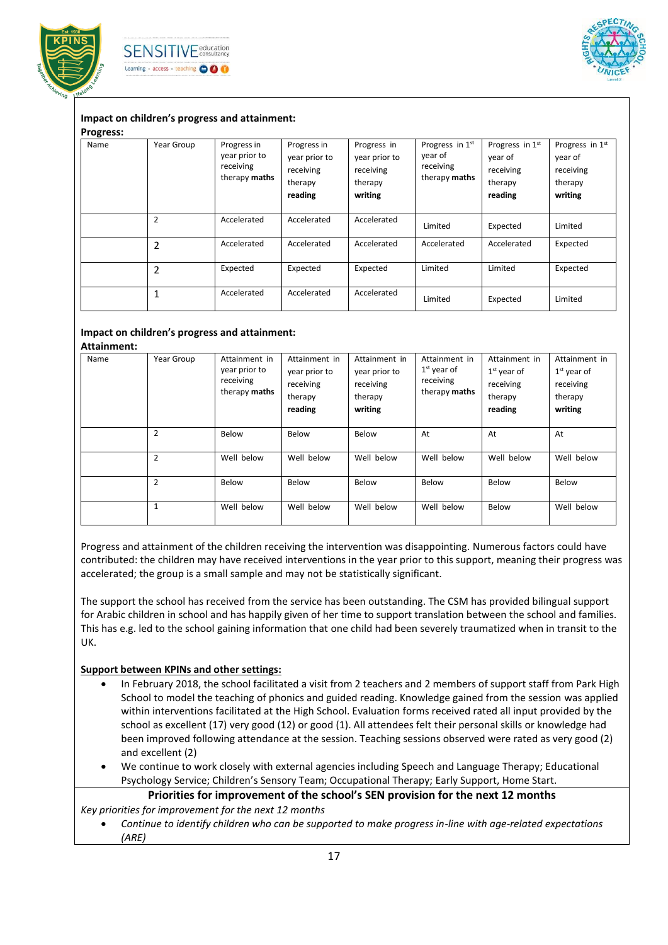





## **Impact on children's progress and attainment:**

#### **Progress:**

| .    |                |                                                            |                                                                 |                                                                 |                                                          |                                                               |                                                               |
|------|----------------|------------------------------------------------------------|-----------------------------------------------------------------|-----------------------------------------------------------------|----------------------------------------------------------|---------------------------------------------------------------|---------------------------------------------------------------|
| Name | Year Group     | Progress in<br>year prior to<br>receiving<br>therapy maths | Progress in<br>year prior to<br>receiving<br>therapy<br>reading | Progress in<br>year prior to<br>receiving<br>therapy<br>writing | Progress in 1st<br>year of<br>receiving<br>therapy maths | Progress in 1st<br>year of<br>receiving<br>therapy<br>reading | Progress in 1st<br>year of<br>receiving<br>therapy<br>writing |
|      | $\overline{2}$ | Accelerated                                                | Accelerated                                                     | Accelerated                                                     | Limited                                                  | Expected                                                      | Limited                                                       |
|      | $\overline{2}$ | Accelerated                                                | Accelerated                                                     | Accelerated                                                     | Accelerated                                              | Accelerated                                                   | Expected                                                      |
|      | $\overline{2}$ | Expected                                                   | Expected                                                        | Expected                                                        | Limited                                                  | Limited                                                       | Expected                                                      |
|      | 1              | Accelerated                                                | Accelerated                                                     | Accelerated                                                     | Limited                                                  | Expected                                                      | Limited                                                       |

#### **Impact on children's progress and attainment: Attainment:**

| Name | Year Group     | Attainment in<br>year prior to<br>receiving<br>therapy maths | Attainment in<br>year prior to<br>receiving<br>therapy<br>reading | Attainment in<br>year prior to<br>receiving<br>therapy<br>writing | Attainment in<br>$1st$ year of<br>receiving<br>therapy maths | Attainment in<br>$1st$ year of<br>receiving<br>therapy<br>reading | Attainment in<br>$1st$ year of<br>receiving<br>therapy<br>writing |
|------|----------------|--------------------------------------------------------------|-------------------------------------------------------------------|-------------------------------------------------------------------|--------------------------------------------------------------|-------------------------------------------------------------------|-------------------------------------------------------------------|
|      | $\overline{2}$ | Below                                                        | Below                                                             | Below                                                             | At                                                           | At                                                                | At                                                                |
|      | $\overline{2}$ | Well below                                                   | Well below                                                        | Well below                                                        | Well below                                                   | Well below                                                        | Well below                                                        |
|      | $\overline{2}$ | Below                                                        | Below                                                             | Below                                                             | Below                                                        | Below                                                             | Below                                                             |
|      |                | Well below                                                   | Well below                                                        | Well below                                                        | Well below                                                   | Below                                                             | Well below                                                        |

Progress and attainment of the children receiving the intervention was disappointing. Numerous factors could have contributed: the children may have received interventions in the year prior to this support, meaning their progress was accelerated; the group is a small sample and may not be statistically significant.

The support the school has received from the service has been outstanding. The CSM has provided bilingual support for Arabic children in school and has happily given of her time to support translation between the school and families. This has e.g. led to the school gaining information that one child had been severely traumatized when in transit to the UK.

#### **Support between KPINs and other settings:**

- In February 2018, the school facilitated a visit from 2 teachers and 2 members of support staff from Park High School to model the teaching of phonics and guided reading. Knowledge gained from the session was applied within interventions facilitated at the High School. Evaluation forms received rated all input provided by the school as excellent (17) very good (12) or good (1). All attendees felt their personal skills or knowledge had been improved following attendance at the session. Teaching sessions observed were rated as very good (2) and excellent (2)
- We continue to work closely with external agencies including Speech and Language Therapy; Educational Psychology Service; Children's Sensory Team; Occupational Therapy; Early Support, Home Start.

**Priorities for improvement of the school's SEN provision for the next 12 months**

*Key priorities for improvement for the next 12 months*

 *Continue to identify children who can be supported to make progress in-line with age-related expectations (ARE)*